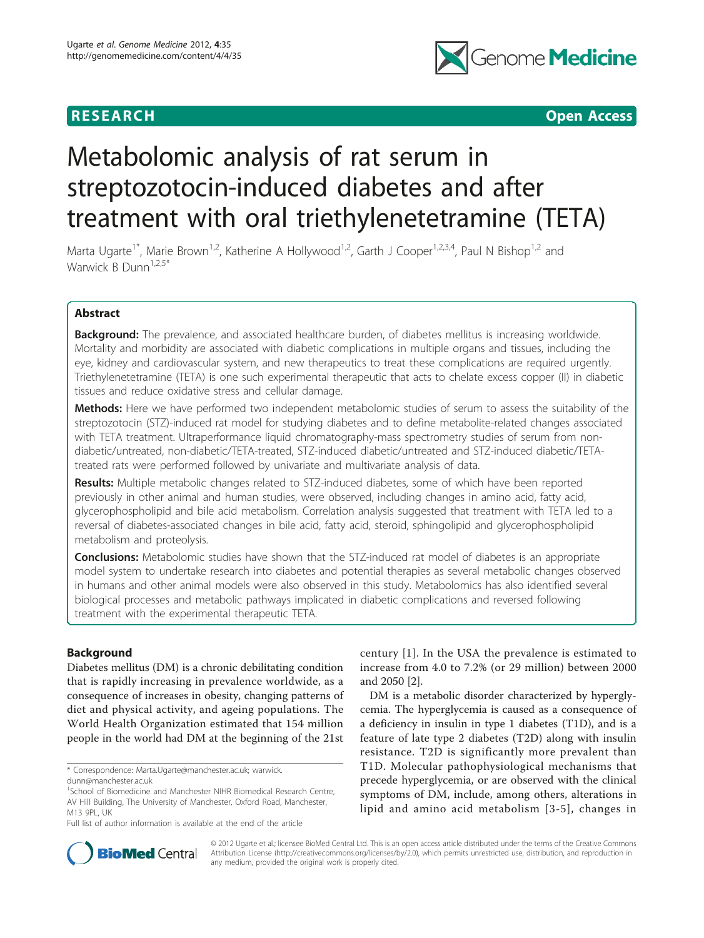

**RESEARCH CONTROL** CONTROL CONTROL CONTROL CONTROL CONTROL CONTROL CONTROL CONTROL CONTROL CONTROL CONTROL CONTROL CONTROL CONTROL CONTROL CONTROL CONTROL CONTROL CONTROL CONTROL CONTROL CONTROL CONTROL CONTROL CONTROL CON

# Metabolomic analysis of rat serum in streptozotocin-induced diabetes and after treatment with oral triethylenetetramine (TETA)

Marta Ugarte<sup>1\*</sup>, Marie Brown<sup>1,2</sup>, Katherine A Hollywood<sup>1,2</sup>, Garth J Cooper<sup>1,2,3,4</sup>, Paul N Bishop<sup>1,2</sup> and Warwick B  $D$ unn<sup>1,2,5\*</sup>

# Abstract

**Background:** The prevalence, and associated healthcare burden, of diabetes mellitus is increasing worldwide. Mortality and morbidity are associated with diabetic complications in multiple organs and tissues, including the eye, kidney and cardiovascular system, and new therapeutics to treat these complications are required urgently. Triethylenetetramine (TETA) is one such experimental therapeutic that acts to chelate excess copper (II) in diabetic tissues and reduce oxidative stress and cellular damage.

Methods: Here we have performed two independent metabolomic studies of serum to assess the suitability of the streptozotocin (STZ)-induced rat model for studying diabetes and to define metabolite-related changes associated with TETA treatment. Ultraperformance liquid chromatography-mass spectrometry studies of serum from nondiabetic/untreated, non-diabetic/TETA-treated, STZ-induced diabetic/untreated and STZ-induced diabetic/TETAtreated rats were performed followed by univariate and multivariate analysis of data.

Results: Multiple metabolic changes related to STZ-induced diabetes, some of which have been reported previously in other animal and human studies, were observed, including changes in amino acid, fatty acid, glycerophospholipid and bile acid metabolism. Correlation analysis suggested that treatment with TETA led to a reversal of diabetes-associated changes in bile acid, fatty acid, steroid, sphingolipid and glycerophospholipid metabolism and proteolysis.

**Conclusions:** Metabolomic studies have shown that the STZ-induced rat model of diabetes is an appropriate model system to undertake research into diabetes and potential therapies as several metabolic changes observed in humans and other animal models were also observed in this study. Metabolomics has also identified several biological processes and metabolic pathways implicated in diabetic complications and reversed following treatment with the experimental therapeutic TETA.

# Background

Diabetes mellitus (DM) is a chronic debilitating condition that is rapidly increasing in prevalence worldwide, as a consequence of increases in obesity, changing patterns of diet and physical activity, and ageing populations. The World Health Organization estimated that 154 million people in the world had DM at the beginning of the 21st

century [[1\]](#page-13-0). In the USA the prevalence is estimated to increase from 4.0 to 7.2% (or 29 million) between 2000 and 2050 [[2\]](#page-13-0).

DM is a metabolic disorder characterized by hyperglycemia. The hyperglycemia is caused as a consequence of a deficiency in insulin in type 1 diabetes (T1D), and is a feature of late type 2 diabetes (T2D) along with insulin resistance. T2D is significantly more prevalent than T1D. Molecular pathophysiological mechanisms that precede hyperglycemia, or are observed with the clinical symptoms of DM, include, among others, alterations in lipid and amino acid metabolism [[3](#page-13-0)-[5\]](#page-13-0), changes in



© 2012 Ugarte et al.; licensee BioMed Central Ltd. This is an open access article distributed under the terms of the Creative Commons Attribution License [\(http://creativecommons.org/licenses/by/2.0](http://creativecommons.org/licenses/by/2.0)), which permits unrestricted use, distribution, and reproduction in any medium, provided the original work is properly cited.

<sup>\*</sup> Correspondence: [Marta.Ugarte@manchester.ac.uk;](mailto:Marta.Ugarte@manchester.ac.uk) [warwick.](mailto:warwick.dunn@manchester.ac.uk)

[dunn@manchester.ac.uk](mailto:warwick.dunn@manchester.ac.uk)

<sup>&</sup>lt;sup>1</sup>School of Biomedicine and Manchester NIHR Biomedical Research Centre, AV Hill Building, The University of Manchester, Oxford Road, Manchester, M13 9PL, UK

Full list of author information is available at the end of the article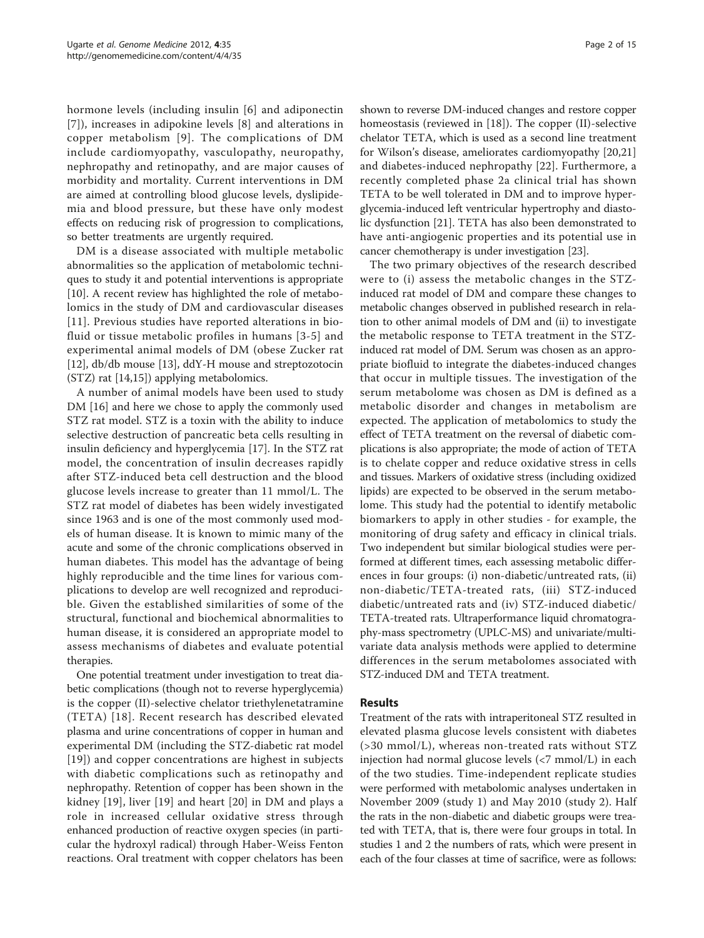hormone levels (including insulin [\[6](#page-13-0)] and adiponectin [[7](#page-13-0)]), increases in adipokine levels [\[8](#page-13-0)] and alterations in copper metabolism [[9](#page-13-0)]. The complications of DM include cardiomyopathy, vasculopathy, neuropathy, nephropathy and retinopathy, and are major causes of morbidity and mortality. Current interventions in DM are aimed at controlling blood glucose levels, dyslipidemia and blood pressure, but these have only modest effects on reducing risk of progression to complications, so better treatments are urgently required.

DM is a disease associated with multiple metabolic abnormalities so the application of metabolomic techniques to study it and potential interventions is appropriate [[10\]](#page-13-0). A recent review has highlighted the role of metabolomics in the study of DM and cardiovascular diseases [[11](#page-13-0)]. Previous studies have reported alterations in biofluid or tissue metabolic profiles in humans [[3](#page-13-0)-[5](#page-13-0)] and experimental animal models of DM (obese Zucker rat [[12\]](#page-13-0), db/db mouse [\[13\]](#page-13-0), ddY-H mouse and streptozotocin (STZ) rat [\[14,15](#page-13-0)]) applying metabolomics.

A number of animal models have been used to study DM [[16\]](#page-13-0) and here we chose to apply the commonly used STZ rat model. STZ is a toxin with the ability to induce selective destruction of pancreatic beta cells resulting in insulin deficiency and hyperglycemia [\[17](#page-13-0)]. In the STZ rat model, the concentration of insulin decreases rapidly after STZ-induced beta cell destruction and the blood glucose levels increase to greater than 11 mmol/L. The STZ rat model of diabetes has been widely investigated since 1963 and is one of the most commonly used models of human disease. It is known to mimic many of the acute and some of the chronic complications observed in human diabetes. This model has the advantage of being highly reproducible and the time lines for various complications to develop are well recognized and reproducible. Given the established similarities of some of the structural, functional and biochemical abnormalities to human disease, it is considered an appropriate model to assess mechanisms of diabetes and evaluate potential therapies.

One potential treatment under investigation to treat diabetic complications (though not to reverse hyperglycemia) is the copper (II)-selective chelator triethylenetatramine (TETA) [[18](#page-13-0)]. Recent research has described elevated plasma and urine concentrations of copper in human and experimental DM (including the STZ-diabetic rat model [[19](#page-13-0)]) and copper concentrations are highest in subjects with diabetic complications such as retinopathy and nephropathy. Retention of copper has been shown in the kidney [[19\]](#page-13-0), liver [[19\]](#page-13-0) and heart [[20\]](#page-13-0) in DM and plays a role in increased cellular oxidative stress through enhanced production of reactive oxygen species (in particular the hydroxyl radical) through Haber-Weiss Fenton reactions. Oral treatment with copper chelators has been

shown to reverse DM-induced changes and restore copper homeostasis (reviewed in [[18\]](#page-13-0)). The copper (II)-selective chelator TETA, which is used as a second line treatment for Wilson's disease, ameliorates cardiomyopathy [\[20](#page-13-0),[21](#page-13-0)] and diabetes-induced nephropathy [[22\]](#page-13-0). Furthermore, a recently completed phase 2a clinical trial has shown TETA to be well tolerated in DM and to improve hyperglycemia-induced left ventricular hypertrophy and diastolic dysfunction [[21\]](#page-13-0). TETA has also been demonstrated to have anti-angiogenic properties and its potential use in cancer chemotherapy is under investigation [[23](#page-13-0)].

The two primary objectives of the research described were to (i) assess the metabolic changes in the STZinduced rat model of DM and compare these changes to metabolic changes observed in published research in relation to other animal models of DM and (ii) to investigate the metabolic response to TETA treatment in the STZinduced rat model of DM. Serum was chosen as an appropriate biofluid to integrate the diabetes-induced changes that occur in multiple tissues. The investigation of the serum metabolome was chosen as DM is defined as a metabolic disorder and changes in metabolism are expected. The application of metabolomics to study the effect of TETA treatment on the reversal of diabetic complications is also appropriate; the mode of action of TETA is to chelate copper and reduce oxidative stress in cells and tissues. Markers of oxidative stress (including oxidized lipids) are expected to be observed in the serum metabolome. This study had the potential to identify metabolic biomarkers to apply in other studies - for example, the monitoring of drug safety and efficacy in clinical trials. Two independent but similar biological studies were performed at different times, each assessing metabolic differences in four groups: (i) non-diabetic/untreated rats, (ii) non-diabetic/TETA-treated rats, (iii) STZ-induced diabetic/untreated rats and (iv) STZ-induced diabetic/ TETA-treated rats. Ultraperformance liquid chromatography-mass spectrometry (UPLC-MS) and univariate/multivariate data analysis methods were applied to determine differences in the serum metabolomes associated with STZ-induced DM and TETA treatment.

#### Results

Treatment of the rats with intraperitoneal STZ resulted in elevated plasma glucose levels consistent with diabetes (>30 mmol/L), whereas non-treated rats without STZ injection had normal glucose levels (<7 mmol/L) in each of the two studies. Time-independent replicate studies were performed with metabolomic analyses undertaken in November 2009 (study 1) and May 2010 (study 2). Half the rats in the non-diabetic and diabetic groups were treated with TETA, that is, there were four groups in total. In studies 1 and 2 the numbers of rats, which were present in each of the four classes at time of sacrifice, were as follows: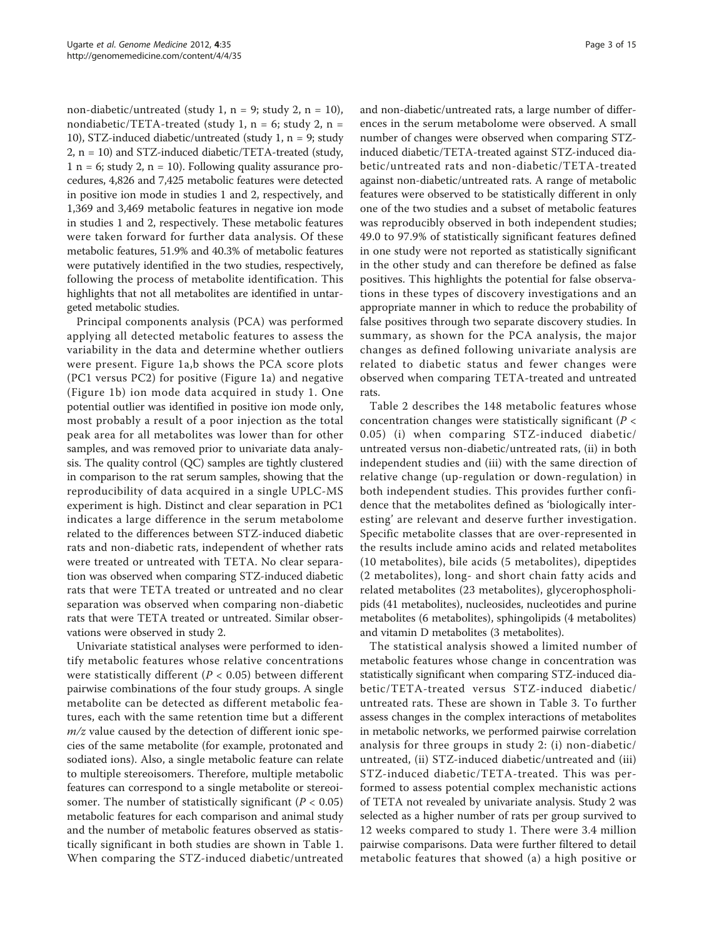non-diabetic/untreated (study 1,  $n = 9$ ; study 2,  $n = 10$ ), nondiabetic/TETA-treated (study 1,  $n = 6$ ; study 2,  $n =$ 10), STZ-induced diabetic/untreated (study 1, n = 9; study 2, n = 10) and STZ-induced diabetic/TETA-treated (study, 1 n = 6; study 2, n = 10). Following quality assurance procedures, 4,826 and 7,425 metabolic features were detected in positive ion mode in studies 1 and 2, respectively, and 1,369 and 3,469 metabolic features in negative ion mode in studies 1 and 2, respectively. These metabolic features were taken forward for further data analysis. Of these metabolic features, 51.9% and 40.3% of metabolic features were putatively identified in the two studies, respectively, following the process of metabolite identification. This highlights that not all metabolites are identified in untargeted metabolic studies.

Principal components analysis (PCA) was performed applying all detected metabolic features to assess the variability in the data and determine whether outliers were present. Figure [1a,b](#page-3-0) shows the PCA score plots (PC1 versus PC2) for positive (Figure [1a](#page-3-0)) and negative (Figure [1b](#page-3-0)) ion mode data acquired in study 1. One potential outlier was identified in positive ion mode only, most probably a result of a poor injection as the total peak area for all metabolites was lower than for other samples, and was removed prior to univariate data analysis. The quality control (QC) samples are tightly clustered in comparison to the rat serum samples, showing that the reproducibility of data acquired in a single UPLC-MS experiment is high. Distinct and clear separation in PC1 indicates a large difference in the serum metabolome related to the differences between STZ-induced diabetic rats and non-diabetic rats, independent of whether rats were treated or untreated with TETA. No clear separation was observed when comparing STZ-induced diabetic rats that were TETA treated or untreated and no clear separation was observed when comparing non-diabetic rats that were TETA treated or untreated. Similar observations were observed in study 2.

Univariate statistical analyses were performed to identify metabolic features whose relative concentrations were statistically different ( $P < 0.05$ ) between different pairwise combinations of the four study groups. A single metabolite can be detected as different metabolic features, each with the same retention time but a different  $m/z$  value caused by the detection of different ionic species of the same metabolite (for example, protonated and sodiated ions). Also, a single metabolic feature can relate to multiple stereoisomers. Therefore, multiple metabolic features can correspond to a single metabolite or stereoisomer. The number of statistically significant ( $P < 0.05$ ) metabolic features for each comparison and animal study and the number of metabolic features observed as statistically significant in both studies are shown in Table [1](#page-4-0). When comparing the STZ-induced diabetic/untreated and non-diabetic/untreated rats, a large number of differences in the serum metabolome were observed. A small number of changes were observed when comparing STZinduced diabetic/TETA-treated against STZ-induced diabetic/untreated rats and non-diabetic/TETA-treated against non-diabetic/untreated rats. A range of metabolic features were observed to be statistically different in only one of the two studies and a subset of metabolic features was reproducibly observed in both independent studies; 49.0 to 97.9% of statistically significant features defined in one study were not reported as statistically significant in the other study and can therefore be defined as false positives. This highlights the potential for false observations in these types of discovery investigations and an appropriate manner in which to reduce the probability of false positives through two separate discovery studies. In summary, as shown for the PCA analysis, the major changes as defined following univariate analysis are related to diabetic status and fewer changes were observed when comparing TETA-treated and untreated rats.

Table [2](#page-5-0) describes the 148 metabolic features whose concentration changes were statistically significant ( $P \lt \theta$ 0.05) (i) when comparing STZ-induced diabetic/ untreated versus non-diabetic/untreated rats, (ii) in both independent studies and (iii) with the same direction of relative change (up-regulation or down-regulation) in both independent studies. This provides further confidence that the metabolites defined as 'biologically interesting' are relevant and deserve further investigation. Specific metabolite classes that are over-represented in the results include amino acids and related metabolites (10 metabolites), bile acids (5 metabolites), dipeptides (2 metabolites), long- and short chain fatty acids and related metabolites (23 metabolites), glycerophospholipids (41 metabolites), nucleosides, nucleotides and purine metabolites (6 metabolites), sphingolipids (4 metabolites) and vitamin D metabolites (3 metabolites).

The statistical analysis showed a limited number of metabolic features whose change in concentration was statistically significant when comparing STZ-induced diabetic/TETA-treated versus STZ-induced diabetic/ untreated rats. These are shown in Table [3.](#page-8-0) To further assess changes in the complex interactions of metabolites in metabolic networks, we performed pairwise correlation analysis for three groups in study 2: (i) non-diabetic/ untreated, (ii) STZ-induced diabetic/untreated and (iii) STZ-induced diabetic/TETA-treated. This was performed to assess potential complex mechanistic actions of TETA not revealed by univariate analysis. Study 2 was selected as a higher number of rats per group survived to 12 weeks compared to study 1. There were 3.4 million pairwise comparisons. Data were further filtered to detail metabolic features that showed (a) a high positive or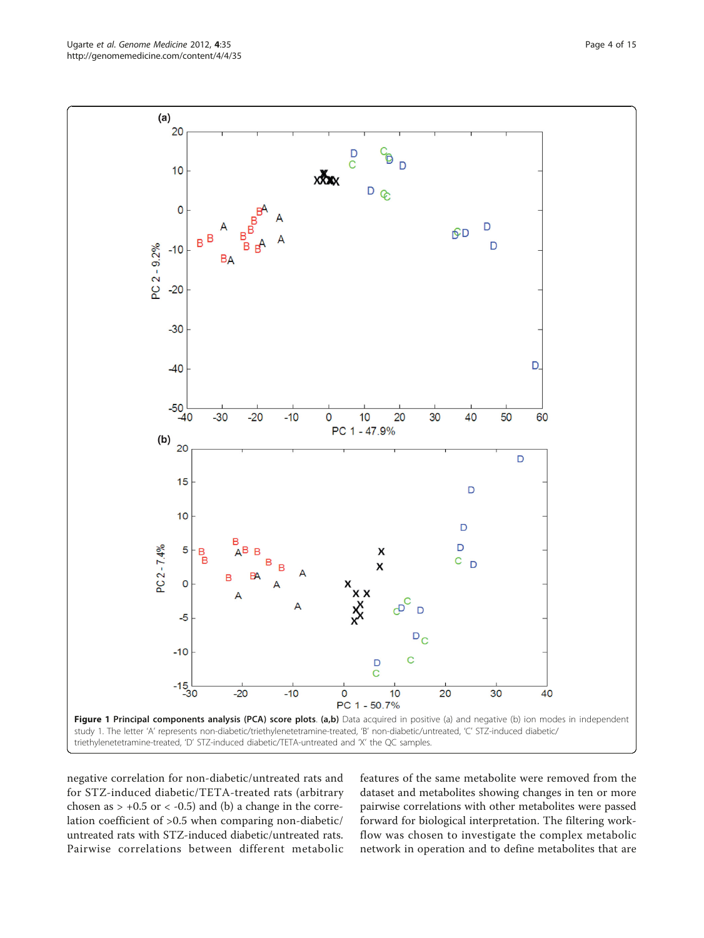<span id="page-3-0"></span>Ugarte et al. Genome Medicine 2012, 4:35 http://genomemedicine.com/content/4/4/35



negative correlation for non-diabetic/untreated rats and for STZ-induced diabetic/TETA-treated rats (arbitrary chosen as  $> +0.5$  or  $< -0.5$ ) and (b) a change in the correlation coefficient of >0.5 when comparing non-diabetic/ untreated rats with STZ-induced diabetic/untreated rats. Pairwise correlations between different metabolic features of the same metabolite were removed from the dataset and metabolites showing changes in ten or more pairwise correlations with other metabolites were passed forward for biological interpretation. The filtering workflow was chosen to investigate the complex metabolic network in operation and to define metabolites that are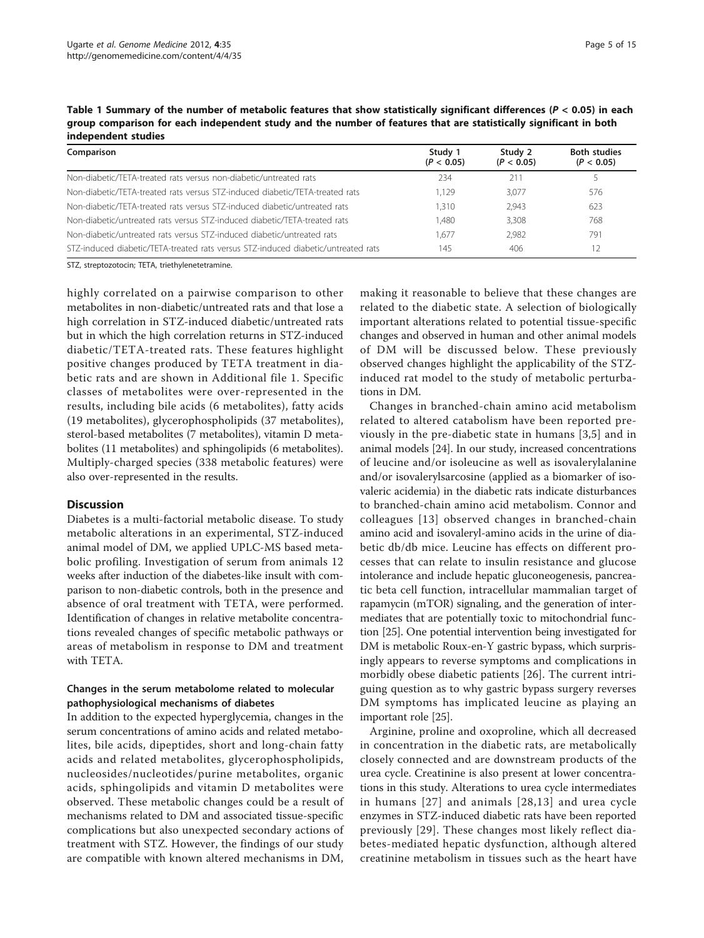<span id="page-4-0"></span>Table 1 Summary of the number of metabolic features that show statistically significant differences ( $P < 0.05$ ) in each group comparison for each independent study and the number of features that are statistically significant in both independent studies

| Comparison                                                                        | Study 1<br>(P < 0.05) | Study 2<br>(P < 0.05) | <b>Both studies</b><br>(P < 0.05) |
|-----------------------------------------------------------------------------------|-----------------------|-----------------------|-----------------------------------|
| Non-diabetic/TETA-treated rats versus non-diabetic/untreated rats                 | 234                   | 211                   |                                   |
| Non-diabetic/TETA-treated rats versus STZ-induced diabetic/TETA-treated rats      | 1.129                 | 3.077                 | 576                               |
| Non-diabetic/TFTA-treated rats versus STZ-induced diabetic/untreated rats         | 1.310                 | 2.943                 | 623                               |
| Non-diabetic/untreated rats versus STZ-induced diabetic/TETA-treated rats         | 1.480                 | 3.308                 | 768                               |
| Non-diabetic/untreated rats versus STZ-induced diabetic/untreated rats            | .677                  | 2.982                 | 791                               |
| STZ-induced diabetic/TETA-treated rats versus STZ-induced diabetic/untreated rats | 145                   | 406                   | 12                                |

STZ, streptozotocin; TETA, triethylenetetramine.

highly correlated on a pairwise comparison to other metabolites in non-diabetic/untreated rats and that lose a high correlation in STZ-induced diabetic/untreated rats but in which the high correlation returns in STZ-induced diabetic/TETA-treated rats. These features highlight positive changes produced by TETA treatment in diabetic rats and are shown in Additional file [1](#page-12-0). Specific classes of metabolites were over-represented in the results, including bile acids (6 metabolites), fatty acids (19 metabolites), glycerophospholipids (37 metabolites), sterol-based metabolites (7 metabolites), vitamin D metabolites (11 metabolites) and sphingolipids (6 metabolites). Multiply-charged species (338 metabolic features) were also over-represented in the results.

#### **Discussion**

Diabetes is a multi-factorial metabolic disease. To study metabolic alterations in an experimental, STZ-induced animal model of DM, we applied UPLC-MS based metabolic profiling. Investigation of serum from animals 12 weeks after induction of the diabetes-like insult with comparison to non-diabetic controls, both in the presence and absence of oral treatment with TETA, were performed. Identification of changes in relative metabolite concentrations revealed changes of specific metabolic pathways or areas of metabolism in response to DM and treatment with TETA.

#### Changes in the serum metabolome related to molecular pathophysiological mechanisms of diabetes

In addition to the expected hyperglycemia, changes in the serum concentrations of amino acids and related metabolites, bile acids, dipeptides, short and long-chain fatty acids and related metabolites, glycerophospholipids, nucleosides/nucleotides/purine metabolites, organic acids, sphingolipids and vitamin D metabolites were observed. These metabolic changes could be a result of mechanisms related to DM and associated tissue-specific complications but also unexpected secondary actions of treatment with STZ. However, the findings of our study are compatible with known altered mechanisms in DM,

making it reasonable to believe that these changes are related to the diabetic state. A selection of biologically important alterations related to potential tissue-specific changes and observed in human and other animal models of DM will be discussed below. These previously observed changes highlight the applicability of the STZinduced rat model to the study of metabolic perturbations in DM.

Changes in branched-chain amino acid metabolism related to altered catabolism have been reported previously in the pre-diabetic state in humans [[3,5](#page-13-0)] and in animal models [[24](#page-13-0)]. In our study, increased concentrations of leucine and/or isoleucine as well as isovalerylalanine and/or isovalerylsarcosine (applied as a biomarker of isovaleric acidemia) in the diabetic rats indicate disturbances to branched-chain amino acid metabolism. Connor and colleagues [[13](#page-13-0)] observed changes in branched-chain amino acid and isovaleryl-amino acids in the urine of diabetic db/db mice. Leucine has effects on different processes that can relate to insulin resistance and glucose intolerance and include hepatic gluconeogenesis, pancreatic beta cell function, intracellular mammalian target of rapamycin (mTOR) signaling, and the generation of intermediates that are potentially toxic to mitochondrial function [\[25](#page-13-0)]. One potential intervention being investigated for DM is metabolic Roux-en-Y gastric bypass, which surprisingly appears to reverse symptoms and complications in morbidly obese diabetic patients [[26\]](#page-13-0). The current intriguing question as to why gastric bypass surgery reverses DM symptoms has implicated leucine as playing an important role [\[25\]](#page-13-0).

Arginine, proline and oxoproline, which all decreased in concentration in the diabetic rats, are metabolically closely connected and are downstream products of the urea cycle. Creatinine is also present at lower concentrations in this study. Alterations to urea cycle intermediates in humans [[27](#page-13-0)] and animals [[28,](#page-14-0)[13](#page-13-0)] and urea cycle enzymes in STZ-induced diabetic rats have been reported previously [[29\]](#page-14-0). These changes most likely reflect diabetes-mediated hepatic dysfunction, although altered creatinine metabolism in tissues such as the heart have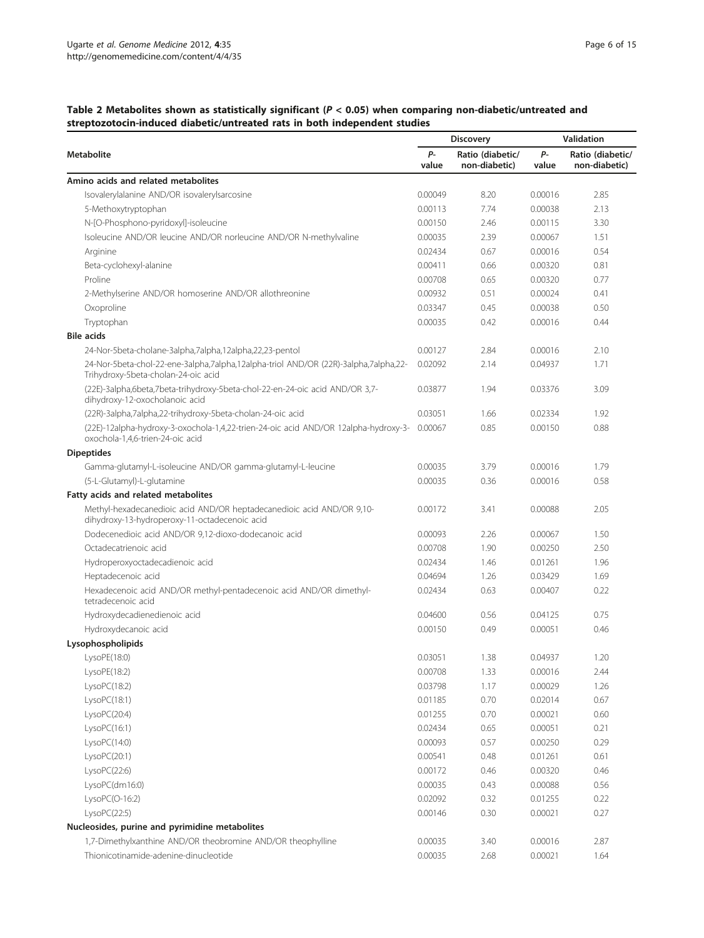# <span id="page-5-0"></span>Table 2 Metabolites shown as statistically significant ( $P < 0.05$ ) when comparing non-diabetic/untreated and streptozotocin-induced diabetic/untreated rats in both independent studies

|                                                                                                                            |         | Discovery                         | Validation  |                                   |  |
|----------------------------------------------------------------------------------------------------------------------------|---------|-----------------------------------|-------------|-----------------------------------|--|
| <b>Metabolite</b>                                                                                                          |         | Ratio (diabetic/<br>non-diabetic) | Р-<br>value | Ratio (diabetic/<br>non-diabetic) |  |
| Amino acids and related metabolites                                                                                        |         |                                   |             |                                   |  |
| Isovalerylalanine AND/OR isovalerylsarcosine                                                                               | 0.00049 | 8.20                              | 0.00016     | 2.85                              |  |
| 5-Methoxytryptophan                                                                                                        | 0.00113 | 7.74                              | 0.00038     | 2.13                              |  |
| N-[O-Phosphono-pyridoxyl]-isoleucine                                                                                       | 0.00150 | 2.46                              | 0.00115     | 3.30                              |  |
| Isoleucine AND/OR leucine AND/OR norleucine AND/OR N-methylvaline                                                          | 0.00035 | 2.39                              | 0.00067     | 1.51                              |  |
| Arginine                                                                                                                   | 0.02434 | 0.67                              | 0.00016     | 0.54                              |  |
| Beta-cyclohexyl-alanine                                                                                                    | 0.00411 | 0.66                              | 0.00320     | 0.81                              |  |
| Proline                                                                                                                    | 0.00708 | 0.65                              | 0.00320     | 0.77                              |  |
| 2-Methylserine AND/OR homoserine AND/OR allothreonine                                                                      | 0.00932 | 0.51                              | 0.00024     | 0.41                              |  |
| Oxoproline                                                                                                                 | 0.03347 | 0.45                              | 0.00038     | 0.50                              |  |
| Tryptophan                                                                                                                 | 0.00035 | 0.42                              | 0.00016     | 0.44                              |  |
| <b>Bile acids</b>                                                                                                          |         |                                   |             |                                   |  |
| 24-Nor-5beta-cholane-3alpha,7alpha,12alpha,22,23-pentol                                                                    | 0.00127 | 2.84                              | 0.00016     | 2.10                              |  |
| 24-Nor-5beta-chol-22-ene-3alpha,7alpha,12alpha-triol AND/OR (22R)-3alpha,7alpha,22-<br>Trihydroxy-5beta-cholan-24-oic acid | 0.02092 | 2.14                              | 0.04937     | 1.71                              |  |
| (22E)-3alpha,6beta,7beta-trihydroxy-5beta-chol-22-en-24-oic acid AND/OR 3,7-<br>dihydroxy-12-oxocholanoic acid             | 0.03877 | 1.94                              | 0.03376     | 3.09                              |  |
| (22R)-3alpha,7alpha,22-trihydroxy-5beta-cholan-24-oic acid                                                                 | 0.03051 | 1.66                              | 0.02334     | 1.92                              |  |
| (22E)-12alpha-hydroxy-3-oxochola-1,4,22-trien-24-oic acid AND/OR 12alpha-hydroxy-3-<br>oxochola-1,4,6-trien-24-oic acid    | 0.00067 | 0.85                              | 0.00150     | 0.88                              |  |
| <b>Dipeptides</b>                                                                                                          |         |                                   |             |                                   |  |
| Gamma-glutamyl-L-isoleucine AND/OR gamma-glutamyl-L-leucine                                                                | 0.00035 | 3.79                              | 0.00016     | 1.79                              |  |
| (5-L-Glutamyl)-L-glutamine                                                                                                 | 0.00035 | 0.36                              | 0.00016     | 0.58                              |  |
| Fatty acids and related metabolites                                                                                        |         |                                   |             |                                   |  |
| Methyl-hexadecanedioic acid AND/OR heptadecanedioic acid AND/OR 9,10-<br>dihydroxy-13-hydroperoxy-11-octadecenoic acid     | 0.00172 | 3.41                              | 0.00088     | 2.05                              |  |
| Dodecenedioic acid AND/OR 9,12-dioxo-dodecanoic acid                                                                       | 0.00093 | 2.26                              | 0.00067     | 1.50                              |  |
| Octadecatrienoic acid                                                                                                      | 0.00708 | 1.90                              | 0.00250     | 2.50                              |  |
| Hydroperoxyoctadecadienoic acid                                                                                            | 0.02434 | 1.46                              | 0.01261     | 1.96                              |  |
| Heptadecenoic acid                                                                                                         | 0.04694 | 1.26                              | 0.03429     | 1.69                              |  |
| Hexadecenoic acid AND/OR methyl-pentadecenoic acid AND/OR dimethyl-<br>tetradecenoic acid                                  | 0.02434 | 0.63                              | 0.00407     | 0.22                              |  |
| Hydroxydecadienedienoic acid                                                                                               | 0.04600 | 0.56                              | 0.04125     | 0.75                              |  |
| Hydroxydecanoic acid                                                                                                       | 0.00150 | 0.49                              | 0.00051     | 0.46                              |  |
| Lysophospholipids                                                                                                          |         |                                   |             |                                   |  |
| LysoPE(18:0)                                                                                                               | 0.03051 | 1.38                              | 0.04937     | 1.20                              |  |
| LysoPE(18:2)                                                                                                               | 0.00708 | 1.33                              | 0.00016     | 2.44                              |  |
| LysoPC $(18:2)$                                                                                                            | 0.03798 | 1.17                              | 0.00029     | 1.26                              |  |
| LysoPC(18:1)                                                                                                               | 0.01185 | 0.70                              | 0.02014     | 0.67                              |  |
| LysoPC $(20:4)$                                                                                                            | 0.01255 | 0.70                              | 0.00021     | 0.60                              |  |
| LysoPC(16:1)                                                                                                               | 0.02434 | 0.65                              | 0.00051     | 0.21                              |  |
| LysoPC $(14:0)$                                                                                                            | 0.00093 | 0.57                              | 0.00250     | 0.29                              |  |
| LysoPC(20:1)                                                                                                               | 0.00541 | 0.48                              | 0.01261     | 0.61                              |  |
| LysoPC(22:6)                                                                                                               | 0.00172 | 0.46                              | 0.00320     | 0.46                              |  |
| LysoPC(dm16:0)                                                                                                             | 0.00035 | 0.43                              | 0.00088     | 0.56                              |  |
| LysoPC(O-16:2)                                                                                                             | 0.02092 | 0.32                              | 0.01255     | 0.22                              |  |
| LysoPC $(22:5)$                                                                                                            | 0.00146 | 0.30                              | 0.00021     | 0.27                              |  |
| Nucleosides, purine and pyrimidine metabolites                                                                             |         |                                   |             |                                   |  |
| 1,7-Dimethylxanthine AND/OR theobromine AND/OR theophylline                                                                | 0.00035 | 3.40                              | 0.00016     | 2.87                              |  |
| Thionicotinamide-adenine-dinucleotide                                                                                      | 0.00035 | 2.68                              | 0.00021     | 1.64                              |  |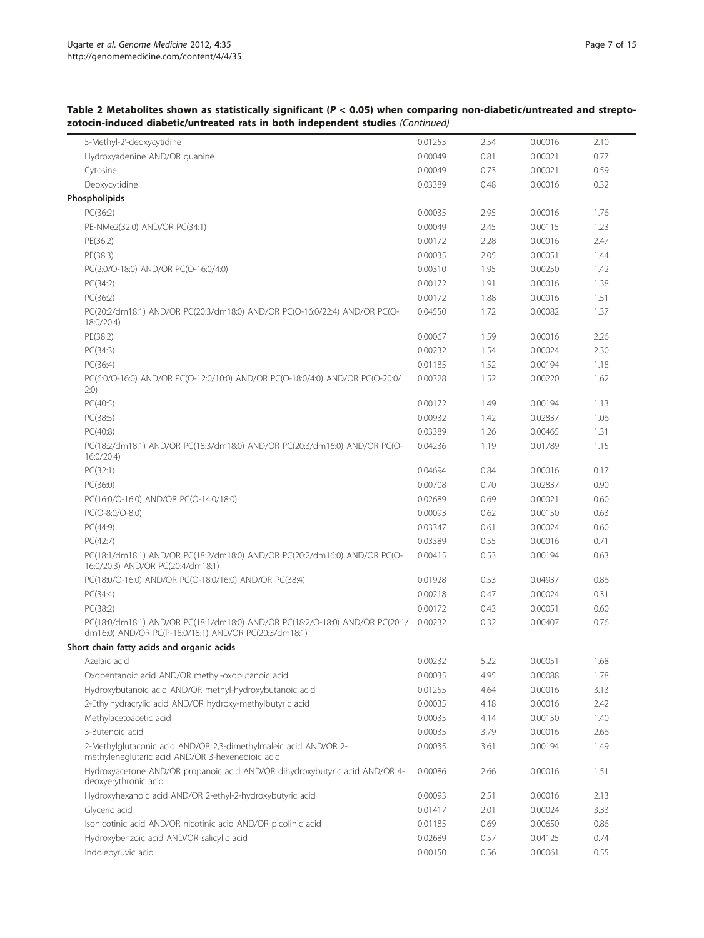# Table 2 Metabolites shown as statistically significant ( $P < 0.05$ ) when comparing non-diabetic/untreated and streptozotocin-induced diabetic/untreated rats in both independent studies (Continued)

| 5-Methyl-2'-deoxycytidine                                                                                                              | 0.01255 | 2.54 | 0.00016 | 2.10 |
|----------------------------------------------------------------------------------------------------------------------------------------|---------|------|---------|------|
| Hydroxyadenine AND/OR quanine                                                                                                          | 0.00049 | 0.81 | 0.00021 | 0.77 |
| Cytosine                                                                                                                               | 0.00049 | 0.73 | 0.00021 | 0.59 |
| Deoxycytidine                                                                                                                          | 0.03389 | 0.48 | 0.00016 | 0.32 |
| Phospholipids                                                                                                                          |         |      |         |      |
| PC(36:2)                                                                                                                               | 0.00035 | 2.95 | 0.00016 | 1.76 |
| PE-NMe2(32:0) AND/OR PC(34:1)                                                                                                          | 0.00049 | 2.45 | 0.00115 | 1.23 |
| PE(36:2)                                                                                                                               | 0.00172 | 2.28 | 0.00016 | 2.47 |
| PE(38:3)                                                                                                                               | 0.00035 | 2.05 | 0.00051 | 1.44 |
| PC(2:0/O-18:0) AND/OR PC(O-16:0/4:0)                                                                                                   | 0.00310 | 1.95 | 0.00250 | 1.42 |
| PC(34:2)                                                                                                                               | 0.00172 | 1.91 | 0.00016 | 1.38 |
| PC(36:2)                                                                                                                               | 0.00172 | 1.88 | 0.00016 | 1.51 |
| PC(20:2/dm18:1) AND/OR PC(20:3/dm18:0) AND/OR PC(O-16:0/22:4) AND/OR PC(O-<br>18:0/20:4)                                               | 0.04550 | 1.72 | 0.00082 | 1.37 |
| PE(38:2)                                                                                                                               | 0.00067 | 1.59 | 0.00016 | 2.26 |
| PC(34:3)                                                                                                                               | 0.00232 | 1.54 | 0.00024 | 2.30 |
| PC(36:4)                                                                                                                               | 0.01185 | 1.52 | 0.00194 | 1.18 |
| PC(6:0/O-16:0) AND/OR PC(O-12:0/10:0) AND/OR PC(O-18:0/4:0) AND/OR PC(O-20:0/<br>2:0)                                                  | 0.00328 | 1.52 | 0.00220 | 1.62 |
| PC(40:5)                                                                                                                               | 0.00172 | 1.49 | 0.00194 | 1.13 |
| PC(38:5)                                                                                                                               | 0.00932 | 1.42 | 0.02837 | 1.06 |
| PC(40:8)                                                                                                                               | 0.03389 | 1.26 | 0.00465 | 1.31 |
| PC(18:2/dm18:1) AND/OR PC(18:3/dm18:0) AND/OR PC(20:3/dm16:0) AND/OR PC(O-<br>16:0/20:4                                                | 0.04236 | 1.19 | 0.01789 | 1.15 |
| PC(32:1)                                                                                                                               | 0.04694 | 0.84 | 0.00016 | 0.17 |
| PC(36:0)                                                                                                                               | 0.00708 | 0.70 | 0.02837 | 0.90 |
| PC(16:0/O-16:0) AND/OR PC(O-14:0/18:0)                                                                                                 | 0.02689 | 0.69 | 0.00021 | 0.60 |
| PC(O-8:0/O-8:0)                                                                                                                        | 0.00093 | 0.62 | 0.00150 | 0.63 |
| PC(44:9)                                                                                                                               | 0.03347 | 0.61 | 0.00024 | 0.60 |
| PC(42:7)                                                                                                                               | 0.03389 | 0.55 | 0.00016 | 0.71 |
| PC(18:1/dm18:1) AND/OR PC(18:2/dm18:0) AND/OR PC(20:2/dm16:0) AND/OR PC(O-<br>16:0/20:3) AND/OR PC(20:4/dm18:1)                        | 0.00415 | 0.53 | 0.00194 | 0.63 |
| PC(18:0/O-16:0) AND/OR PC(O-18:0/16:0) AND/OR PC(38:4)                                                                                 | 0.01928 | 0.53 | 0.04937 | 0.86 |
| PC(34:4)                                                                                                                               | 0.00218 | 0.47 | 0.00024 | 0.31 |
| PC(38:2)                                                                                                                               | 0.00172 | 0.43 | 0.00051 | 0.60 |
| PC(18:0/dm18:1) AND/OR PC(18:1/dm18:0) AND/OR PC(18:2/O-18:0) AND/OR PC(20:1/<br>dm16:0) AND/OR PC(P-18:0/18:1) AND/OR PC(20:3/dm18:1) | 0.00232 | 0.32 | 0.00407 | 0.76 |
| Short chain fatty acids and organic acids                                                                                              |         |      |         |      |
| Azelaic acid                                                                                                                           | 0.00232 | 5.22 | 0.00051 | 1.68 |
| Oxopentanoic acid AND/OR methyl-oxobutanoic acid                                                                                       | 0.00035 | 4.95 | 0.00088 | 1.78 |
| Hydroxybutanoic acid AND/OR methyl-hydroxybutanoic acid                                                                                | 0.01255 | 4.64 | 0.00016 | 3.13 |
| 2-Ethylhydracrylic acid AND/OR hydroxy-methylbutyric acid                                                                              | 0.00035 | 4.18 | 0.00016 | 2.42 |
| Methylacetoacetic acid                                                                                                                 | 0.00035 | 4.14 | 0.00150 | 1.40 |
| 3-Butenoic acid                                                                                                                        | 0.00035 | 3.79 | 0.00016 | 2.66 |
| 2-Methylglutaconic acid AND/OR 2,3-dimethylmaleic acid AND/OR 2-<br>methyleneglutaric acid AND/OR 3-hexenedioic acid                   | 0.00035 | 3.61 | 0.00194 | 1.49 |
| Hydroxyacetone AND/OR propanoic acid AND/OR dihydroxybutyric acid AND/OR 4-<br>deoxyerythronic acid                                    | 0.00086 | 2.66 | 0.00016 | 1.51 |
| Hydroxyhexanoic acid AND/OR 2-ethyl-2-hydroxybutyric acid                                                                              | 0.00093 | 2.51 | 0.00016 | 2.13 |
| Glyceric acid                                                                                                                          | 0.01417 | 2.01 | 0.00024 | 3.33 |
| Isonicotinic acid AND/OR nicotinic acid AND/OR picolinic acid                                                                          | 0.01185 | 0.69 | 0.00650 | 0.86 |
| Hydroxybenzoic acid AND/OR salicylic acid                                                                                              | 0.02689 | 0.57 | 0.04125 | 0.74 |
| Indolepyruvic acid                                                                                                                     | 0.00150 | 0.56 | 0.00061 | 0.55 |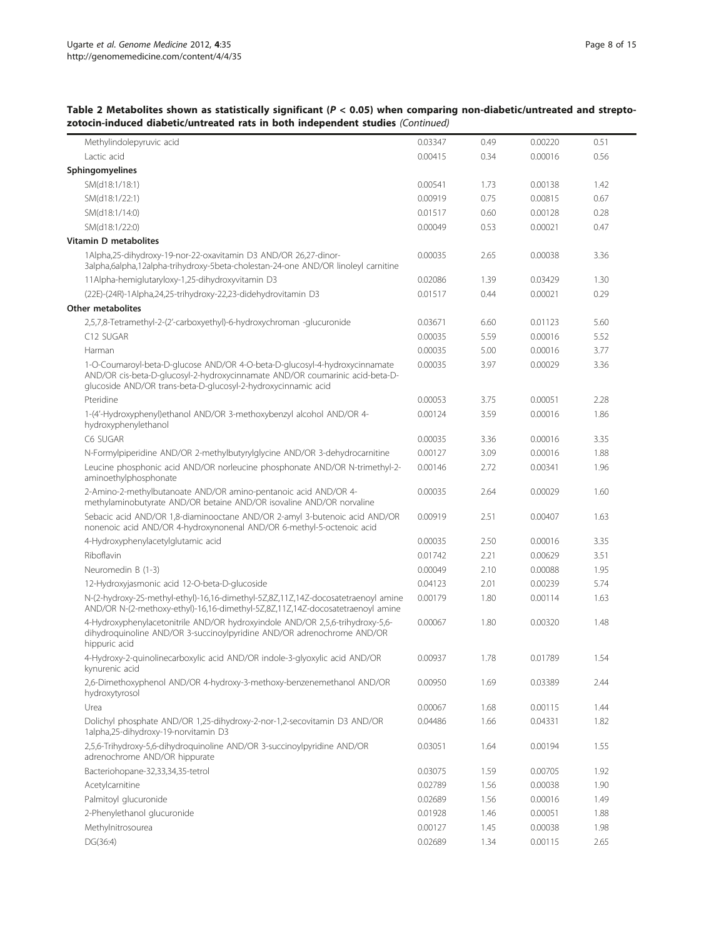# Table 2 Metabolites shown as statistically significant ( $P < 0.05$ ) when comparing non-diabetic/untreated and streptozotocin-induced diabetic/untreated rats in both independent studies (Continued)

| Methylindolepyruvic acid                                                                                                                                                                                                    | 0.03347 | 0.49 | 0.00220 | 0.51 |
|-----------------------------------------------------------------------------------------------------------------------------------------------------------------------------------------------------------------------------|---------|------|---------|------|
| Lactic acid                                                                                                                                                                                                                 | 0.00415 | 0.34 | 0.00016 | 0.56 |
| Sphingomyelines                                                                                                                                                                                                             |         |      |         |      |
| SM(d18:1/18:1)                                                                                                                                                                                                              | 0.00541 | 1.73 | 0.00138 | 1.42 |
| SM(d18:1/22:1)                                                                                                                                                                                                              | 0.00919 | 0.75 | 0.00815 | 0.67 |
| SM(d18:1/14:0)                                                                                                                                                                                                              | 0.01517 | 0.60 | 0.00128 | 0.28 |
| SM(d18:1/22:0)                                                                                                                                                                                                              | 0.00049 | 0.53 | 0.00021 | 0.47 |
| <b>Vitamin D metabolites</b>                                                                                                                                                                                                |         |      |         |      |
| 1Alpha,25-dihydroxy-19-nor-22-oxavitamin D3 AND/OR 26,27-dinor-<br>3alpha,6alpha,12alpha-trihydroxy-5beta-cholestan-24-one AND/OR linoleyl carnitine                                                                        | 0.00035 | 2.65 | 0.00038 | 3.36 |
| 11Alpha-hemiglutaryloxy-1,25-dihydroxyvitamin D3                                                                                                                                                                            | 0.02086 | 1.39 | 0.03429 | 1.30 |
| (22E)-(24R)-1Alpha,24,25-trihydroxy-22,23-didehydrovitamin D3                                                                                                                                                               | 0.01517 | 0.44 | 0.00021 | 0.29 |
| <b>Other metabolites</b>                                                                                                                                                                                                    |         |      |         |      |
| 2,5,7,8-Tetramethyl-2-(2'-carboxyethyl)-6-hydroxychroman-glucuronide                                                                                                                                                        | 0.03671 | 6.60 | 0.01123 | 5.60 |
| C12 SUGAR                                                                                                                                                                                                                   | 0.00035 | 5.59 | 0.00016 | 5.52 |
| Harman                                                                                                                                                                                                                      | 0.00035 | 5.00 | 0.00016 | 3.77 |
| 1-O-Coumaroyl-beta-D-glucose AND/OR 4-O-beta-D-glucosyl-4-hydroxycinnamate<br>AND/OR cis-beta-D-glucosyl-2-hydroxycinnamate AND/OR coumarinic acid-beta-D-<br>glucoside AND/OR trans-beta-D-glucosyl-2-hydroxycinnamic acid | 0.00035 | 3.97 | 0.00029 | 3.36 |
| Pteridine                                                                                                                                                                                                                   | 0.00053 | 3.75 | 0.00051 | 2.28 |
| 1-(4'-Hydroxyphenyl)ethanol AND/OR 3-methoxybenzyl alcohol AND/OR 4-<br>hydroxyphenylethanol                                                                                                                                | 0.00124 | 3.59 | 0.00016 | 1.86 |
| C6 SUGAR                                                                                                                                                                                                                    | 0.00035 | 3.36 | 0.00016 | 3.35 |
| N-Formylpiperidine AND/OR 2-methylbutyrylglycine AND/OR 3-dehydrocarnitine                                                                                                                                                  | 0.00127 | 3.09 | 0.00016 | 1.88 |
| Leucine phosphonic acid AND/OR norleucine phosphonate AND/OR N-trimethyl-2-<br>aminoethylphosphonate                                                                                                                        | 0.00146 | 2.72 | 0.00341 | 1.96 |
| 2-Amino-2-methylbutanoate AND/OR amino-pentanoic acid AND/OR 4-<br>methylaminobutyrate AND/OR betaine AND/OR isovaline AND/OR norvaline                                                                                     | 0.00035 | 2.64 | 0.00029 | 1.60 |
| Sebacic acid AND/OR 1,8-diaminooctane AND/OR 2-amyl 3-butenoic acid AND/OR<br>nonenoic acid AND/OR 4-hydroxynonenal AND/OR 6-methyl-5-octenoic acid                                                                         | 0.00919 | 2.51 | 0.00407 | 1.63 |
| 4-Hydroxyphenylacetylglutamic acid                                                                                                                                                                                          | 0.00035 | 2.50 | 0.00016 | 3.35 |
| Riboflavin                                                                                                                                                                                                                  | 0.01742 | 2.21 | 0.00629 | 3.51 |
| Neuromedin B (1-3)                                                                                                                                                                                                          | 0.00049 | 2.10 | 0.00088 | 1.95 |
| 12-Hydroxyjasmonic acid 12-O-beta-D-glucoside                                                                                                                                                                               | 0.04123 | 2.01 | 0.00239 | 5.74 |
| N-(2-hydroxy-2S-methyl-ethyl)-16,16-dimethyl-5Z,8Z,11Z,14Z-docosatetraenoyl amine<br>AND/OR N-(2-methoxy-ethyl)-16,16-dimethyl-5Z,8Z,11Z,14Z-docosatetraenoyl amine                                                         | 0.00179 | 1.80 | 0.00114 | 1.63 |
| 4-Hydroxyphenylacetonitrile AND/OR hydroxyindole AND/OR 2,5,6-trihydroxy-5,6-<br>dihydroquinoline AND/OR 3-succinoylpyridine AND/OR adrenochrome AND/OR<br>hippuric acid                                                    | 0.00067 | 1.80 | 0.00320 | 1.48 |
| 4-Hydroxy-2-quinolinecarboxylic acid AND/OR indole-3-glyoxylic acid AND/OR<br>kynurenic acid                                                                                                                                | 0.00937 | 1.78 | 0.01789 | 1.54 |
| 2,6-Dimethoxyphenol AND/OR 4-hydroxy-3-methoxy-benzenemethanol AND/OR<br>hydroxytyrosol                                                                                                                                     | 0.00950 | 1.69 | 0.03389 | 2.44 |
| Urea                                                                                                                                                                                                                        | 0.00067 | 1.68 | 0.00115 | 1.44 |
| Dolichyl phosphate AND/OR 1,25-dihydroxy-2-nor-1,2-secovitamin D3 AND/OR<br>1alpha,25-dihydroxy-19-norvitamin D3                                                                                                            | 0.04486 | 1.66 | 0.04331 | 1.82 |
| 2,5,6-Trihydroxy-5,6-dihydroquinoline AND/OR 3-succinoylpyridine AND/OR<br>adrenochrome AND/OR hippurate                                                                                                                    | 0.03051 | 1.64 | 0.00194 | 1.55 |
| Bacteriohopane-32,33,34,35-tetrol                                                                                                                                                                                           | 0.03075 | 1.59 | 0.00705 | 1.92 |
| Acetylcarnitine                                                                                                                                                                                                             | 0.02789 | 1.56 | 0.00038 | 1.90 |
| Palmitoyl glucuronide                                                                                                                                                                                                       | 0.02689 | 1.56 | 0.00016 | 1.49 |
| 2-Phenylethanol glucuronide                                                                                                                                                                                                 | 0.01928 | 1.46 | 0.00051 | 1.88 |
| Methylnitrosourea                                                                                                                                                                                                           | 0.00127 | 1.45 | 0.00038 | 1.98 |
| DG(36:4)                                                                                                                                                                                                                    | 0.02689 | 1.34 | 0.00115 | 2.65 |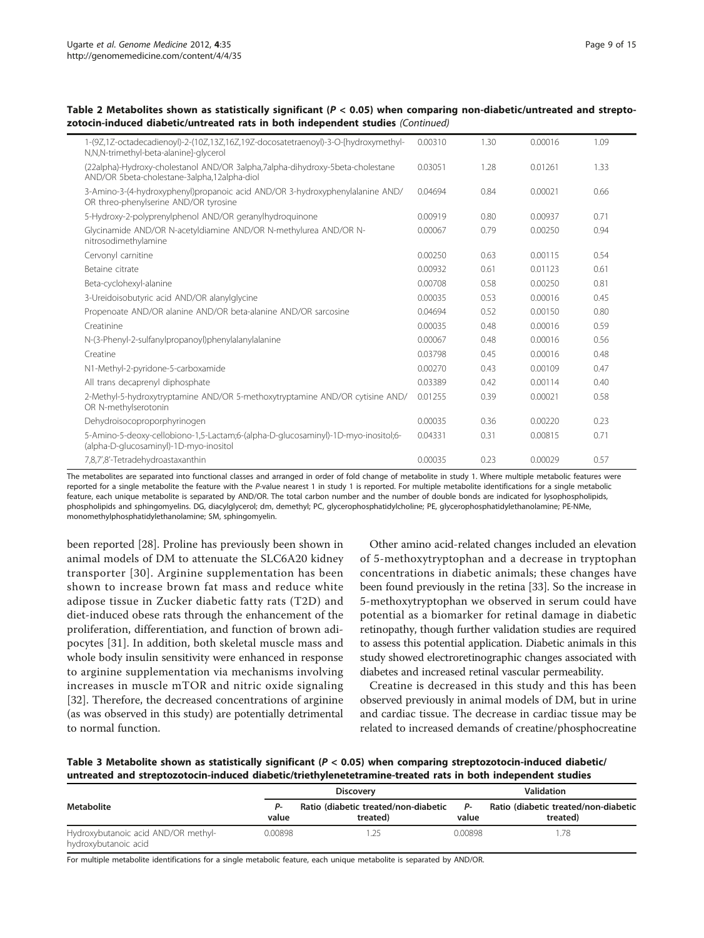#### <span id="page-8-0"></span>Table 2 Metabolites shown as statistically significant ( $P < 0.05$ ) when comparing non-diabetic/untreated and streptozotocin-induced diabetic/untreated rats in both independent studies (Continued)

| 1-(9Z,1Z-octadecadienoyl)-2-(10Z,13Z,16Z,19Z-docosatetraenoyl)-3-O-[hydroxymethyl-<br>N,N,N-trimethyl-beta-alanine]-glycerol | 0.00310 | 1.30 | 0.00016 | 1.09 |
|------------------------------------------------------------------------------------------------------------------------------|---------|------|---------|------|
| (22alpha)-Hydroxy-cholestanol AND/OR 3alpha,7alpha-dihydroxy-5beta-cholestane<br>AND/OR 5beta-cholestane-3alpha,12alpha-diol | 0.03051 | 1.28 | 0.01261 | 1.33 |
| 3-Amino-3-(4-hydroxyphenyl)propanoic acid AND/OR 3-hydroxyphenylalanine AND/<br>OR threo-phenylserine AND/OR tyrosine        | 0.04694 | 0.84 | 0.00021 | 0.66 |
| 5-Hydroxy-2-polyprenylphenol AND/OR geranylhydroquinone                                                                      | 0.00919 | 0.80 | 0.00937 | 0.71 |
| Glycinamide AND/OR N-acetyldiamine AND/OR N-methylurea AND/OR N-<br>nitrosodimethylamine                                     | 0.00067 | 0.79 | 0.00250 | 0.94 |
| Cervonyl carnitine                                                                                                           | 0.00250 | 0.63 | 0.00115 | 0.54 |
| Betaine citrate                                                                                                              | 0.00932 | 0.61 | 0.01123 | 0.61 |
| Beta-cyclohexyl-alanine                                                                                                      | 0.00708 | 0.58 | 0.00250 | 0.81 |
| 3-Ureidoisobutyric acid AND/OR alanylglycine                                                                                 | 0.00035 | 0.53 | 0.00016 | 0.45 |
| Propenoate AND/OR alanine AND/OR beta-alanine AND/OR sarcosine                                                               | 0.04694 | 0.52 | 0.00150 | 0.80 |
| Creatinine                                                                                                                   | 0.00035 | 0.48 | 0.00016 | 0.59 |
| N-(3-Phenyl-2-sulfanylpropanoyl)phenylalanylalanine                                                                          | 0.00067 | 0.48 | 0.00016 | 0.56 |
| Creatine                                                                                                                     | 0.03798 | 0.45 | 0.00016 | 0.48 |
| N1-Methyl-2-pyridone-5-carboxamide                                                                                           | 0.00270 | 0.43 | 0.00109 | 0.47 |
| All trans decaprenyl diphosphate                                                                                             | 0.03389 | 0.42 | 0.00114 | 0.40 |
| 2-Methyl-5-hydroxytryptamine AND/OR 5-methoxytryptamine AND/OR cytisine AND/<br>OR N-methylserotonin                         | 0.01255 | 0.39 | 0.00021 | 0.58 |
| Dehydroisocoproporphyrinogen                                                                                                 | 0.00035 | 0.36 | 0.00220 | 0.23 |
| 5-Amino-5-deoxy-cellobiono-1,5-Lactam;6-(alpha-D-glucosaminyl)-1D-myo-inositol;6-<br>(alpha-D-glucosaminyl)-1D-myo-inositol  | 0.04331 | 0.31 | 0.00815 | 0.71 |
| 7,8,7',8'-Tetradehydroastaxanthin                                                                                            | 0.00035 | 0.23 | 0.00029 | 0.57 |

The metabolites are separated into functional classes and arranged in order of fold change of metabolite in study 1. Where multiple metabolic features were reported for a single metabolite the feature with the P-value nearest 1 in study 1 is reported. For multiple metabolite identifications for a single metabolic feature, each unique metabolite is separated by AND/OR. The total carbon number and the number of double bonds are indicated for lysophospholipids, phospholipids and sphingomyelins. DG, diacylglycerol; dm, demethyl; PC, glycerophosphatidylcholine; PE, glycerophosphatidylethanolamine; PE-NMe, monomethylphosphatidylethanolamine; SM, sphingomyelin.

been reported [[28\]](#page-14-0). Proline has previously been shown in animal models of DM to attenuate the SLC6A20 kidney transporter [[30\]](#page-14-0). Arginine supplementation has been shown to increase brown fat mass and reduce white adipose tissue in Zucker diabetic fatty rats (T2D) and diet-induced obese rats through the enhancement of the proliferation, differentiation, and function of brown adipocytes [[31](#page-14-0)]. In addition, both skeletal muscle mass and whole body insulin sensitivity were enhanced in response to arginine supplementation via mechanisms involving increases in muscle mTOR and nitric oxide signaling [[32\]](#page-14-0). Therefore, the decreased concentrations of arginine (as was observed in this study) are potentially detrimental to normal function.

Other amino acid-related changes included an elevation of 5-methoxytryptophan and a decrease in tryptophan concentrations in diabetic animals; these changes have been found previously in the retina [\[33\]](#page-14-0). So the increase in 5-methoxytryptophan we observed in serum could have potential as a biomarker for retinal damage in diabetic retinopathy, though further validation studies are required to assess this potential application. Diabetic animals in this study showed electroretinographic changes associated with diabetes and increased retinal vascular permeability.

Creatine is decreased in this study and this has been observed previously in animal models of DM, but in urine and cardiac tissue. The decrease in cardiac tissue may be related to increased demands of creatine/phosphocreatine

Table 3 Metabolite shown as statistically significant ( $P < 0.05$ ) when comparing streptozotocin-induced diabetic/ untreated and streptozotocin-induced diabetic/triethylenetetramine-treated rats in both independent studies

|                                                             | <b>Discovery</b> |                                                  |             | Validation                                       |  |
|-------------------------------------------------------------|------------------|--------------------------------------------------|-------------|--------------------------------------------------|--|
| Metabolite                                                  | P-<br>value      | Ratio (diabetic treated/non-diabetic<br>treated) | P-<br>value | Ratio (diabetic treated/non-diabetic<br>treated) |  |
| Hydroxybutanoic acid AND/OR methyl-<br>hydroxybutanoic acid | 0.00898          | 25                                               | 0.00898     | .78                                              |  |

For multiple metabolite identifications for a single metabolic feature, each unique metabolite is separated by AND/OR.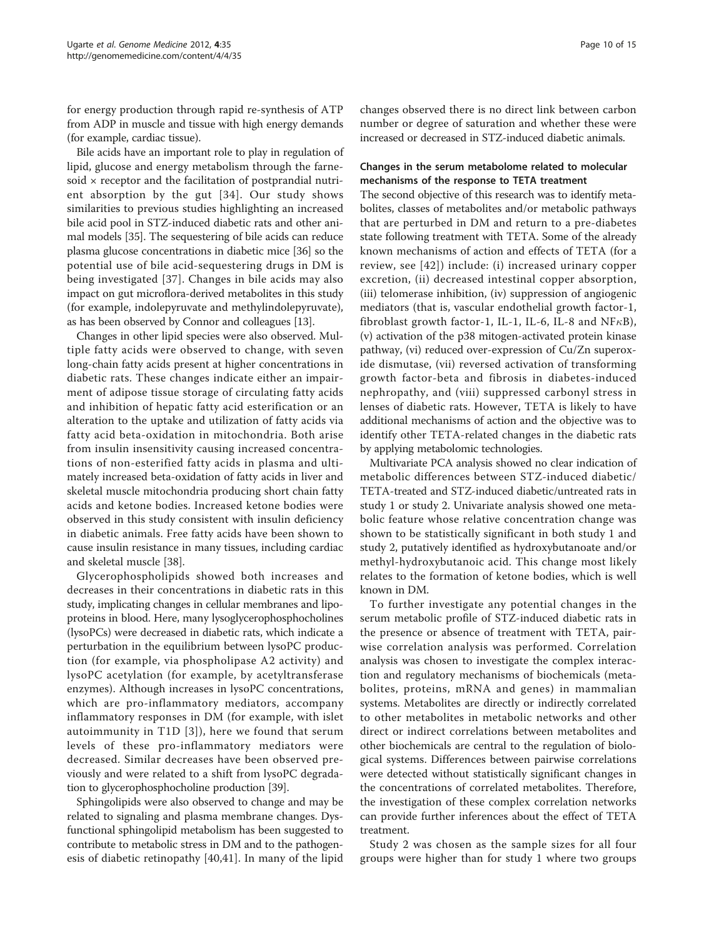for energy production through rapid re-synthesis of ATP from ADP in muscle and tissue with high energy demands (for example, cardiac tissue).

Bile acids have an important role to play in regulation of lipid, glucose and energy metabolism through the farnesoid  $\times$  receptor and the facilitation of postprandial nutrient absorption by the gut [[34](#page-14-0)]. Our study shows similarities to previous studies highlighting an increased bile acid pool in STZ-induced diabetic rats and other animal models [[35](#page-14-0)]. The sequestering of bile acids can reduce plasma glucose concentrations in diabetic mice [[36\]](#page-14-0) so the potential use of bile acid-sequestering drugs in DM is being investigated [\[37\]](#page-14-0). Changes in bile acids may also impact on gut microflora-derived metabolites in this study (for example, indolepyruvate and methylindolepyruvate), as has been observed by Connor and colleagues [[13](#page-13-0)].

Changes in other lipid species were also observed. Multiple fatty acids were observed to change, with seven long-chain fatty acids present at higher concentrations in diabetic rats. These changes indicate either an impairment of adipose tissue storage of circulating fatty acids and inhibition of hepatic fatty acid esterification or an alteration to the uptake and utilization of fatty acids via fatty acid beta-oxidation in mitochondria. Both arise from insulin insensitivity causing increased concentrations of non-esterified fatty acids in plasma and ultimately increased beta-oxidation of fatty acids in liver and skeletal muscle mitochondria producing short chain fatty acids and ketone bodies. Increased ketone bodies were observed in this study consistent with insulin deficiency in diabetic animals. Free fatty acids have been shown to cause insulin resistance in many tissues, including cardiac and skeletal muscle [\[38](#page-14-0)].

Glycerophospholipids showed both increases and decreases in their concentrations in diabetic rats in this study, implicating changes in cellular membranes and lipoproteins in blood. Here, many lysoglycerophosphocholines (lysoPCs) were decreased in diabetic rats, which indicate a perturbation in the equilibrium between lysoPC production (for example, via phospholipase A2 activity) and lysoPC acetylation (for example, by acetyltransferase enzymes). Although increases in lysoPC concentrations, which are pro-inflammatory mediators, accompany inflammatory responses in DM (for example, with islet autoimmunity in T1D [\[3\]](#page-13-0)), here we found that serum levels of these pro-inflammatory mediators were decreased. Similar decreases have been observed previously and were related to a shift from lysoPC degradation to glycerophosphocholine production [\[39\]](#page-14-0).

Sphingolipids were also observed to change and may be related to signaling and plasma membrane changes. Dysfunctional sphingolipid metabolism has been suggested to contribute to metabolic stress in DM and to the pathogenesis of diabetic retinopathy [[40,41](#page-14-0)]. In many of the lipid changes observed there is no direct link between carbon number or degree of saturation and whether these were increased or decreased in STZ-induced diabetic animals.

# Changes in the serum metabolome related to molecular mechanisms of the response to TETA treatment

The second objective of this research was to identify metabolites, classes of metabolites and/or metabolic pathways that are perturbed in DM and return to a pre-diabetes state following treatment with TETA. Some of the already known mechanisms of action and effects of TETA (for a review, see [[42](#page-14-0)]) include: (i) increased urinary copper excretion, (ii) decreased intestinal copper absorption, (iii) telomerase inhibition, (iv) suppression of angiogenic mediators (that is, vascular endothelial growth factor-1, fibroblast growth factor-1, IL-1, IL-6, IL-8 and NF $\kappa$ B), (v) activation of the p38 mitogen-activated protein kinase pathway, (vi) reduced over-expression of Cu/Zn superoxide dismutase, (vii) reversed activation of transforming growth factor-beta and fibrosis in diabetes-induced nephropathy, and (viii) suppressed carbonyl stress in lenses of diabetic rats. However, TETA is likely to have additional mechanisms of action and the objective was to identify other TETA-related changes in the diabetic rats by applying metabolomic technologies.

Multivariate PCA analysis showed no clear indication of metabolic differences between STZ-induced diabetic/ TETA-treated and STZ-induced diabetic/untreated rats in study 1 or study 2. Univariate analysis showed one metabolic feature whose relative concentration change was shown to be statistically significant in both study 1 and study 2, putatively identified as hydroxybutanoate and/or methyl-hydroxybutanoic acid. This change most likely relates to the formation of ketone bodies, which is well known in DM.

To further investigate any potential changes in the serum metabolic profile of STZ-induced diabetic rats in the presence or absence of treatment with TETA, pairwise correlation analysis was performed. Correlation analysis was chosen to investigate the complex interaction and regulatory mechanisms of biochemicals (metabolites, proteins, mRNA and genes) in mammalian systems. Metabolites are directly or indirectly correlated to other metabolites in metabolic networks and other direct or indirect correlations between metabolites and other biochemicals are central to the regulation of biological systems. Differences between pairwise correlations were detected without statistically significant changes in the concentrations of correlated metabolites. Therefore, the investigation of these complex correlation networks can provide further inferences about the effect of TETA treatment.

Study 2 was chosen as the sample sizes for all four groups were higher than for study 1 where two groups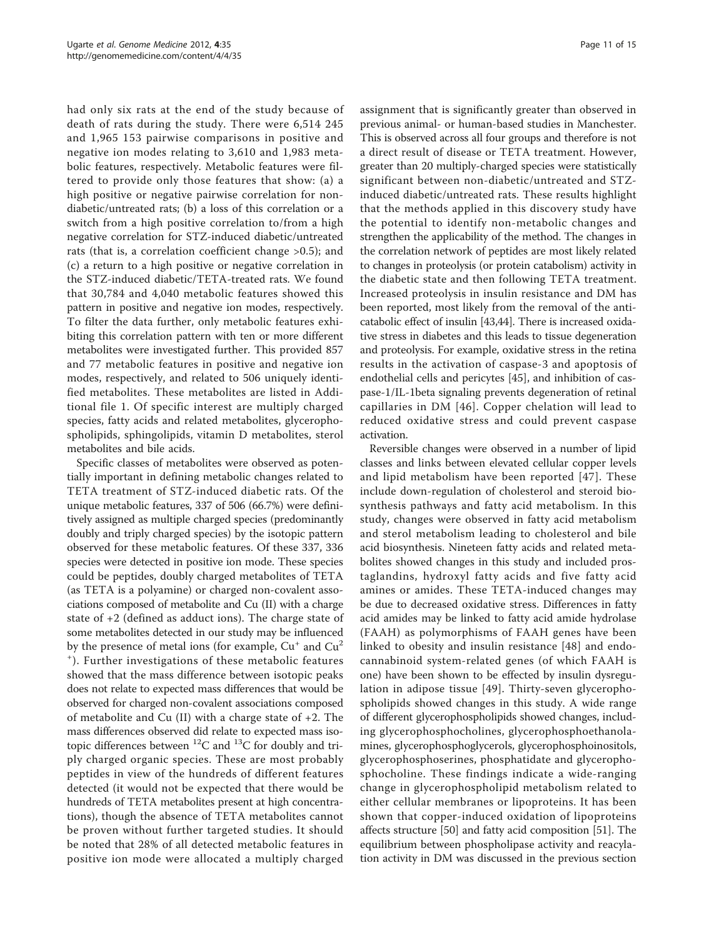had only six rats at the end of the study because of death of rats during the study. There were 6,514 245 and 1,965 153 pairwise comparisons in positive and negative ion modes relating to 3,610 and 1,983 metabolic features, respectively. Metabolic features were filtered to provide only those features that show: (a) a high positive or negative pairwise correlation for nondiabetic/untreated rats; (b) a loss of this correlation or a switch from a high positive correlation to/from a high negative correlation for STZ-induced diabetic/untreated rats (that is, a correlation coefficient change >0.5); and (c) a return to a high positive or negative correlation in the STZ-induced diabetic/TETA-treated rats. We found that 30,784 and 4,040 metabolic features showed this pattern in positive and negative ion modes, respectively. To filter the data further, only metabolic features exhibiting this correlation pattern with ten or more different metabolites were investigated further. This provided 857 and 77 metabolic features in positive and negative ion modes, respectively, and related to 506 uniquely identified metabolites. These metabolites are listed in Additional file [1](#page-12-0). Of specific interest are multiply charged species, fatty acids and related metabolites, glycerophospholipids, sphingolipids, vitamin D metabolites, sterol metabolites and bile acids.

Specific classes of metabolites were observed as potentially important in defining metabolic changes related to TETA treatment of STZ-induced diabetic rats. Of the unique metabolic features, 337 of 506 (66.7%) were definitively assigned as multiple charged species (predominantly doubly and triply charged species) by the isotopic pattern observed for these metabolic features. Of these 337, 336 species were detected in positive ion mode. These species could be peptides, doubly charged metabolites of TETA (as TETA is a polyamine) or charged non-covalent associations composed of metabolite and Cu (II) with a charge state of +2 (defined as adduct ions). The charge state of some metabolites detected in our study may be influenced by the presence of metal ions (for example,  $Cu<sup>+</sup>$  and  $Cu<sup>2</sup>$ + ). Further investigations of these metabolic features showed that the mass difference between isotopic peaks does not relate to expected mass differences that would be observed for charged non-covalent associations composed of metabolite and Cu (II) with a charge state of +2. The mass differences observed did relate to expected mass isotopic differences between  ${}^{12}$ C and  ${}^{13}$ C for doubly and triply charged organic species. These are most probably peptides in view of the hundreds of different features detected (it would not be expected that there would be hundreds of TETA metabolites present at high concentrations), though the absence of TETA metabolites cannot be proven without further targeted studies. It should be noted that 28% of all detected metabolic features in positive ion mode were allocated a multiply charged assignment that is significantly greater than observed in previous animal- or human-based studies in Manchester. This is observed across all four groups and therefore is not a direct result of disease or TETA treatment. However, greater than 20 multiply-charged species were statistically significant between non-diabetic/untreated and STZinduced diabetic/untreated rats. These results highlight that the methods applied in this discovery study have the potential to identify non-metabolic changes and strengthen the applicability of the method. The changes in the correlation network of peptides are most likely related to changes in proteolysis (or protein catabolism) activity in the diabetic state and then following TETA treatment. Increased proteolysis in insulin resistance and DM has been reported, most likely from the removal of the anticatabolic effect of insulin [\[43,44\]](#page-14-0). There is increased oxidative stress in diabetes and this leads to tissue degeneration and proteolysis. For example, oxidative stress in the retina results in the activation of caspase-3 and apoptosis of endothelial cells and pericytes [\[45\]](#page-14-0), and inhibition of caspase-1/IL-1beta signaling prevents degeneration of retinal capillaries in DM [[46](#page-14-0)]. Copper chelation will lead to reduced oxidative stress and could prevent caspase activation.

Reversible changes were observed in a number of lipid classes and links between elevated cellular copper levels and lipid metabolism have been reported [[47](#page-14-0)]. These include down-regulation of cholesterol and steroid biosynthesis pathways and fatty acid metabolism. In this study, changes were observed in fatty acid metabolism and sterol metabolism leading to cholesterol and bile acid biosynthesis. Nineteen fatty acids and related metabolites showed changes in this study and included prostaglandins, hydroxyl fatty acids and five fatty acid amines or amides. These TETA-induced changes may be due to decreased oxidative stress. Differences in fatty acid amides may be linked to fatty acid amide hydrolase (FAAH) as polymorphisms of FAAH genes have been linked to obesity and insulin resistance [\[48\]](#page-14-0) and endocannabinoid system-related genes (of which FAAH is one) have been shown to be effected by insulin dysregulation in adipose tissue [[49](#page-14-0)]. Thirty-seven glycerophospholipids showed changes in this study. A wide range of different glycerophospholipids showed changes, including glycerophosphocholines, glycerophosphoethanolamines, glycerophosphoglycerols, glycerophosphoinositols, glycerophosphoserines, phosphatidate and glycerophosphocholine. These findings indicate a wide-ranging change in glycerophospholipid metabolism related to either cellular membranes or lipoproteins. It has been shown that copper-induced oxidation of lipoproteins affects structure [[50](#page-14-0)] and fatty acid composition [[51](#page-14-0)]. The equilibrium between phospholipase activity and reacylation activity in DM was discussed in the previous section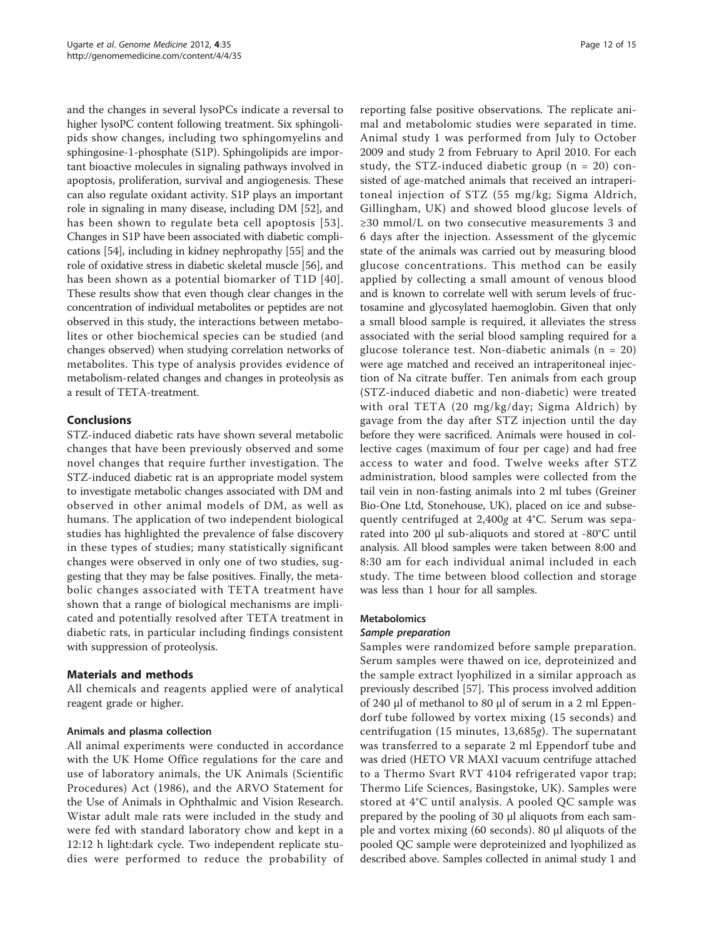and the changes in several lysoPCs indicate a reversal to higher lysoPC content following treatment. Six sphingolipids show changes, including two sphingomyelins and sphingosine-1-phosphate (S1P). Sphingolipids are important bioactive molecules in signaling pathways involved in apoptosis, proliferation, survival and angiogenesis. These can also regulate oxidant activity. S1P plays an important role in signaling in many disease, including DM [[52](#page-14-0)], and has been shown to regulate beta cell apoptosis [[53\]](#page-14-0). Changes in S1P have been associated with diabetic complications [[54](#page-14-0)], including in kidney nephropathy [[55](#page-14-0)] and the role of oxidative stress in diabetic skeletal muscle [\[56\]](#page-14-0), and has been shown as a potential biomarker of T1D [[40\]](#page-14-0). These results show that even though clear changes in the concentration of individual metabolites or peptides are not observed in this study, the interactions between metabolites or other biochemical species can be studied (and changes observed) when studying correlation networks of metabolites. This type of analysis provides evidence of metabolism-related changes and changes in proteolysis as a result of TETA-treatment.

# Conclusions

STZ-induced diabetic rats have shown several metabolic changes that have been previously observed and some novel changes that require further investigation. The STZ-induced diabetic rat is an appropriate model system to investigate metabolic changes associated with DM and observed in other animal models of DM, as well as humans. The application of two independent biological studies has highlighted the prevalence of false discovery in these types of studies; many statistically significant changes were observed in only one of two studies, suggesting that they may be false positives. Finally, the metabolic changes associated with TETA treatment have shown that a range of biological mechanisms are implicated and potentially resolved after TETA treatment in diabetic rats, in particular including findings consistent with suppression of proteolysis.

# Materials and methods

All chemicals and reagents applied were of analytical reagent grade or higher.

#### Animals and plasma collection

All animal experiments were conducted in accordance with the UK Home Office regulations for the care and use of laboratory animals, the UK Animals (Scientific Procedures) Act (1986), and the ARVO Statement for the Use of Animals in Ophthalmic and Vision Research. Wistar adult male rats were included in the study and were fed with standard laboratory chow and kept in a 12:12 h light:dark cycle. Two independent replicate studies were performed to reduce the probability of reporting false positive observations. The replicate animal and metabolomic studies were separated in time. Animal study 1 was performed from July to October 2009 and study 2 from February to April 2010. For each study, the STZ-induced diabetic group ( $n = 20$ ) consisted of age-matched animals that received an intraperitoneal injection of STZ (55 mg/kg; Sigma Aldrich, Gillingham, UK) and showed blood glucose levels of ≥30 mmol/L on two consecutive measurements 3 and 6 days after the injection. Assessment of the glycemic state of the animals was carried out by measuring blood glucose concentrations. This method can be easily applied by collecting a small amount of venous blood and is known to correlate well with serum levels of fructosamine and glycosylated haemoglobin. Given that only a small blood sample is required, it alleviates the stress associated with the serial blood sampling required for a glucose tolerance test. Non-diabetic animals  $(n = 20)$ were age matched and received an intraperitoneal injection of Na citrate buffer. Ten animals from each group (STZ-induced diabetic and non-diabetic) were treated with oral TETA (20 mg/kg/day; Sigma Aldrich) by gavage from the day after STZ injection until the day before they were sacrificed. Animals were housed in collective cages (maximum of four per cage) and had free access to water and food. Twelve weeks after STZ administration, blood samples were collected from the tail vein in non-fasting animals into 2 ml tubes (Greiner Bio-One Ltd, Stonehouse, UK), placed on ice and subsequently centrifuged at 2,400g at 4°C. Serum was separated into 200 μl sub-aliquots and stored at -80°C until analysis. All blood samples were taken between 8:00 and 8:30 am for each individual animal included in each study. The time between blood collection and storage was less than 1 hour for all samples.

#### Metabolomics

#### Sample preparation

Samples were randomized before sample preparation. Serum samples were thawed on ice, deproteinized and the sample extract lyophilized in a similar approach as previously described [[57](#page-14-0)]. This process involved addition of 240 μl of methanol to 80 μl of serum in a 2 ml Eppendorf tube followed by vortex mixing (15 seconds) and centrifugation (15 minutes, 13,685g). The supernatant was transferred to a separate 2 ml Eppendorf tube and was dried (HETO VR MAXI vacuum centrifuge attached to a Thermo Svart RVT 4104 refrigerated vapor trap; Thermo Life Sciences, Basingstoke, UK). Samples were stored at 4°C until analysis. A pooled QC sample was prepared by the pooling of 30 μl aliquots from each sample and vortex mixing (60 seconds). 80 μl aliquots of the pooled QC sample were deproteinized and lyophilized as described above. Samples collected in animal study 1 and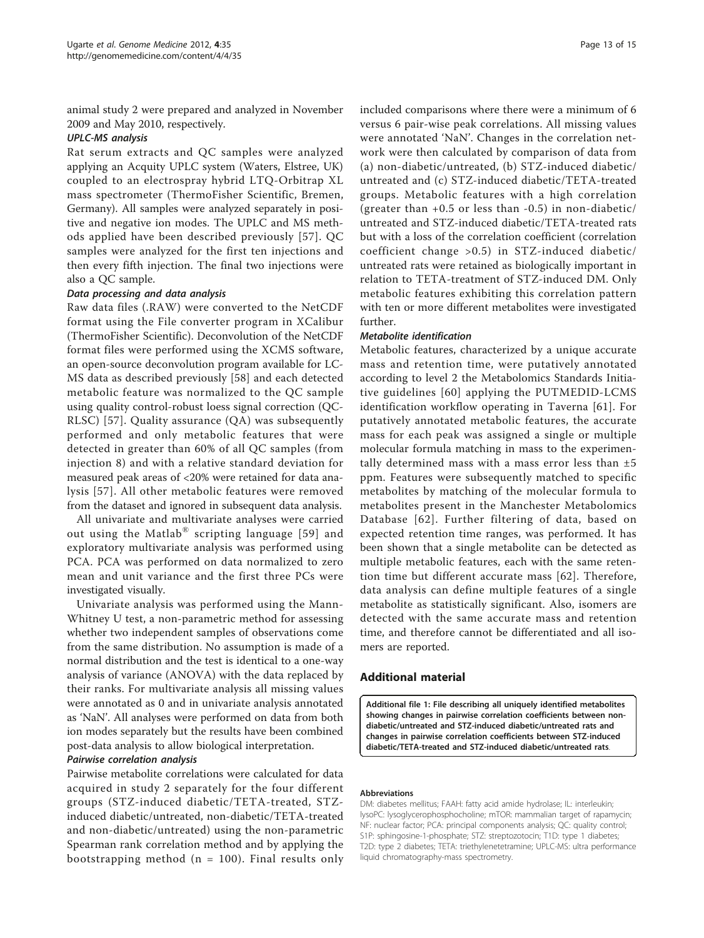<span id="page-12-0"></span>animal study 2 were prepared and analyzed in November 2009 and May 2010, respectively.

### UPLC-MS analysis

Rat serum extracts and QC samples were analyzed applying an Acquity UPLC system (Waters, Elstree, UK) coupled to an electrospray hybrid LTQ-Orbitrap XL mass spectrometer (ThermoFisher Scientific, Bremen, Germany). All samples were analyzed separately in positive and negative ion modes. The UPLC and MS methods applied have been described previously [[57](#page-14-0)]. QC samples were analyzed for the first ten injections and then every fifth injection. The final two injections were also a QC sample.

#### Data processing and data analysis

Raw data files (.RAW) were converted to the NetCDF format using the File converter program in XCalibur (ThermoFisher Scientific). Deconvolution of the NetCDF format files were performed using the XCMS software, an open-source deconvolution program available for LC-MS data as described previously [\[58\]](#page-14-0) and each detected metabolic feature was normalized to the QC sample using quality control-robust loess signal correction (QC-RLSC) [[57](#page-14-0)]. Quality assurance (QA) was subsequently performed and only metabolic features that were detected in greater than 60% of all QC samples (from injection 8) and with a relative standard deviation for measured peak areas of <20% were retained for data analysis [[57\]](#page-14-0). All other metabolic features were removed from the dataset and ignored in subsequent data analysis.

All univariate and multivariate analyses were carried out using the Matlab<sup>®</sup> scripting language [[59\]](#page-14-0) and exploratory multivariate analysis was performed using PCA. PCA was performed on data normalized to zero mean and unit variance and the first three PCs were investigated visually.

Univariate analysis was performed using the Mann-Whitney U test, a non-parametric method for assessing whether two independent samples of observations come from the same distribution. No assumption is made of a normal distribution and the test is identical to a one-way analysis of variance (ANOVA) with the data replaced by their ranks. For multivariate analysis all missing values were annotated as 0 and in univariate analysis annotated as 'NaN'. All analyses were performed on data from both ion modes separately but the results have been combined post-data analysis to allow biological interpretation.

#### Pairwise correlation analysis

Pairwise metabolite correlations were calculated for data acquired in study 2 separately for the four different groups (STZ-induced diabetic/TETA-treated, STZinduced diabetic/untreated, non-diabetic/TETA-treated and non-diabetic/untreated) using the non-parametric Spearman rank correlation method and by applying the bootstrapping method ( $n = 100$ ). Final results only included comparisons where there were a minimum of 6 versus 6 pair-wise peak correlations. All missing values were annotated 'NaN'. Changes in the correlation network were then calculated by comparison of data from (a) non-diabetic/untreated, (b) STZ-induced diabetic/ untreated and (c) STZ-induced diabetic/TETA-treated groups. Metabolic features with a high correlation (greater than  $+0.5$  or less than  $-0.5$ ) in non-diabetic/ untreated and STZ-induced diabetic/TETA-treated rats but with a loss of the correlation coefficient (correlation coefficient change >0.5) in STZ-induced diabetic/ untreated rats were retained as biologically important in relation to TETA-treatment of STZ-induced DM. Only metabolic features exhibiting this correlation pattern with ten or more different metabolites were investigated further.

#### Metabolite identification

Metabolic features, characterized by a unique accurate mass and retention time, were putatively annotated according to level 2 the Metabolomics Standards Initiative guidelines [\[60\]](#page-14-0) applying the PUTMEDID-LCMS identification workflow operating in Taverna [[61](#page-14-0)]. For putatively annotated metabolic features, the accurate mass for each peak was assigned a single or multiple molecular formula matching in mass to the experimentally determined mass with a mass error less than  $\pm 5$ ppm. Features were subsequently matched to specific metabolites by matching of the molecular formula to metabolites present in the Manchester Metabolomics Database [[62\]](#page-14-0). Further filtering of data, based on expected retention time ranges, was performed. It has been shown that a single metabolite can be detected as multiple metabolic features, each with the same retention time but different accurate mass [[62](#page-14-0)]. Therefore, data analysis can define multiple features of a single metabolite as statistically significant. Also, isomers are detected with the same accurate mass and retention time, and therefore cannot be differentiated and all isomers are reported.

#### Additional material

[Additional file 1: F](http://www.biomedcentral.com/content/supplementary/gmAA-S1.???)ile describing all uniquely identified metabolites showing changes in pairwise correlation coefficients between nondiabetic/untreated and STZ-induced diabetic/untreated rats and changes in pairwise correlation coefficients between STZ-induced diabetic/TETA-treated and STZ-induced diabetic/untreated rats.

#### Abbreviations

DM: diabetes mellitus; FAAH: fatty acid amide hydrolase; IL: interleukin; lysoPC: lysoglycerophosphocholine; mTOR: mammalian target of rapamycin; NF: nuclear factor; PCA: principal components analysis; QC: quality control; S1P: sphingosine-1-phosphate; STZ: streptozotocin; T1D: type 1 diabetes; T2D: type 2 diabetes; TETA: triethylenetetramine; UPLC-MS: ultra performance liquid chromatography-mass spectrometry.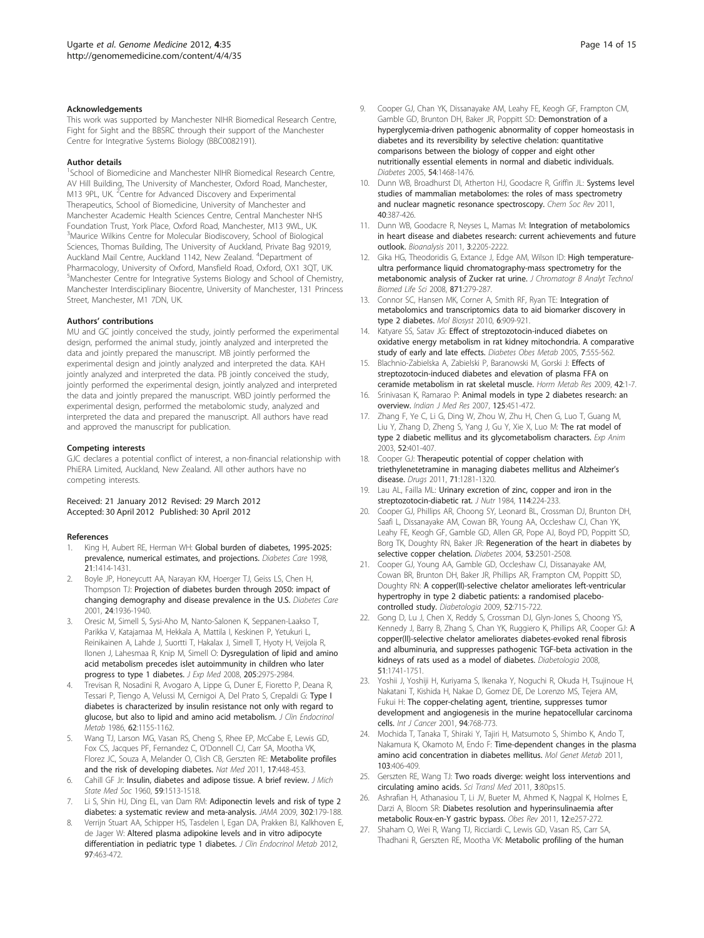#### <span id="page-13-0"></span>Acknowledgements

This work was supported by Manchester NIHR Biomedical Research Centre, Fight for Sight and the BBSRC through their support of the Manchester Centre for Integrative Systems Biology (BBC0082191).

#### Author details

<sup>1</sup>School of Biomedicine and Manchester NIHR Biomedical Research Centre, AV Hill Building, The University of Manchester, Oxford Road, Manchester, M13 9PL, UK. <sup>2</sup>Centre for Advanced Discovery and Experimental Therapeutics, School of Biomedicine, University of Manchester and Manchester Academic Health Sciences Centre, Central Manchester NHS Foundation Trust, York Place, Oxford Road, Manchester, M13 9WL, UK. <sup>3</sup>Maurice Wilkins Centre for Molecular Biodiscovery, School of Biological Sciences, Thomas Building, The University of Auckland, Private Bag 92019, Auckland Mail Centre, Auckland 1142, New Zealand. <sup>4</sup>Department of Pharmacology, University of Oxford, Mansfield Road, Oxford, OX1 3QT, UK. 5 Manchester Centre for Integrative Systems Biology and School of Chemistry, Manchester Interdisciplinary Biocentre, University of Manchester, 131 Princess Street, Manchester, M1 7DN, UK.

#### Authors' contributions

MU and GC jointly conceived the study, jointly performed the experimental design, performed the animal study, jointly analyzed and interpreted the data and jointly prepared the manuscript. MB jointly performed the experimental design and jointly analyzed and interpreted the data. KAH jointly analyzed and interpreted the data. PB jointly conceived the study, jointly performed the experimental design, jointly analyzed and interpreted the data and jointly prepared the manuscript. WBD jointly performed the experimental design, performed the metabolomic study, analyzed and interpreted the data and prepared the manuscript. All authors have read and approved the manuscript for publication.

#### Competing interests

GJC declares a potential conflict of interest, a non-financial relationship with PhiERA Limited, Auckland, New Zealand. All other authors have no competing interests.

#### Received: 21 January 2012 Revised: 29 March 2012 Accepted: 30 April 2012 Published: 30 April 2012

#### References

- King H, Aubert RE, Herman WH: Global burden of diabetes, 1995-2025: prevalence, numerical estimates, and projections. Diabetes Care 1998, 21:1414-1431.
- 2. Boyle JP, Honeycutt AA, Narayan KM, Hoerger TJ, Geiss LS, Chen H, Thompson TJ: Projection of diabetes burden through 2050: impact of changing demography and disease prevalence in the U.S. Diabetes Care 2001, 24:1936-1940.
- 3. Oresic M, Simell S, Sysi-Aho M, Nanto-Salonen K, Seppanen-Laakso T, Parikka V, Katajamaa M, Hekkala A, Mattila I, Keskinen P, Yetukuri L, Reinikainen A, Lahde J, Suortti T, Hakalax J, Simell T, Hyoty H, Veijola R, Ilonen J, Lahesmaa R, Knip M, Simell O: Dysregulation of lipid and amino acid metabolism precedes islet autoimmunity in children who later progress to type 1 diabetes. J Exp Med 2008, 205:2975-2984.
- Trevisan R, Nosadini R, Avogaro A, Lippe G, Duner E, Fioretto P, Deana R, Tessari P, Tiengo A, Velussi M, Cernigoi A, Del Prato S, Crepaldi G: Type I diabetes is characterized by insulin resistance not only with regard to glucose, but also to lipid and amino acid metabolism. J Clin Endocrinol Metab 1986, 62:1155-1162.
- 5. Wang TJ, Larson MG, Vasan RS, Cheng S, Rhee EP, McCabe E, Lewis GD, Fox CS, Jacques PF, Fernandez C, O'Donnell CJ, Carr SA, Mootha VK, Florez JC, Souza A, Melander O, Clish CB, Gerszten RE: Metabolite profiles and the risk of developing diabetes. Nat Med 2011, 17:448-453.
- Cahill GF Jr: Insulin, diabetes and adipose tissue. A brief review. J Mich State Med Soc 1960, 59:1513-1518.
- 7. Li S, Shin HJ, Ding EL, van Dam RM: Adiponectin levels and risk of type 2 diabetes: a systematic review and meta-analysis. JAMA 2009, 302:179-188.
- 8. Verrijn Stuart AA, Schipper HS, Tasdelen I, Egan DA, Prakken BJ, Kalkhoven E, de Jager W: Altered plasma adipokine levels and in vitro adipocyte differentiation in pediatric type 1 diabetes. J Clin Endocrinol Metab 2012, 97:463-472.
- 9. Cooper GJ, Chan YK, Dissanayake AM, Leahy FE, Keogh GF, Frampton CM, Gamble GD, Brunton DH, Baker JR, Poppitt SD: Demonstration of a hyperglycemia-driven pathogenic abnormality of copper homeostasis in diabetes and its reversibility by selective chelation: quantitative comparisons between the biology of copper and eight other nutritionally essential elements in normal and diabetic individuals. Diabetes 2005, 54:1468-1476.
- 10. Dunn WB, Broadhurst DI, Atherton HJ, Goodacre R, Griffin JL: Systems level studies of mammalian metabolomes: the roles of mass spectrometry and nuclear magnetic resonance spectroscopy. Chem Soc Rev 2011, 40:387-426.
- 11. Dunn WB, Goodacre R, Neyses L, Mamas M: Integration of metabolomics in heart disease and diabetes research: current achievements and future outlook. Bioanalysis 2011, 3:2205-2222.
- 12. Gika HG, Theodoridis G, Extance J, Edge AM, Wilson ID: High temperatureultra performance liquid chromatography-mass spectrometry for the metabonomic analysis of Zucker rat urine. J Chromatogr B Analyt Technol Biomed Life Sci 2008, 871:279-287.
- 13. Connor SC, Hansen MK, Corner A, Smith RF, Ryan TE: Integration of metabolomics and transcriptomics data to aid biomarker discovery in type 2 diabetes. Mol Biosyst 2010, 6:909-921.
- 14. Katyare SS, Satav JG: Effect of streptozotocin-induced diabetes on oxidative energy metabolism in rat kidney mitochondria. A comparative study of early and late effects. Diabetes Obes Metab 2005, 7:555-562.
- 15. Blachnio-Zabielska A, Zabielski P, Baranowski M, Gorski J: Effects of streptozotocin-induced diabetes and elevation of plasma FFA on ceramide metabolism in rat skeletal muscle. Horm Metab Res 2009, 42:1-7.
- 16. Srinivasan K, Ramarao P: Animal models in type 2 diabetes research: an overview. Indian J Med Res 2007, 125:451-472.
- 17. Zhang F, Ye C, Li G, Ding W, Zhou W, Zhu H, Chen G, Luo T, Guang M, Liu Y, Zhang D, Zheng S, Yang J, Gu Y, Xie X, Luo M: The rat model of type 2 diabetic mellitus and its glycometabolism characters. Exp Anim 2003, 52:401-407.
- 18. Cooper GJ: Therapeutic potential of copper chelation with triethylenetetramine in managing diabetes mellitus and Alzheimer's disease. Drugs 2011, 71:1281-1320.
- 19. Lau AL, Failla ML: Urinary excretion of zinc, copper and iron in the streptozotocin-diabetic rat. J Nutr 1984, 114:224-233.
- 20. Cooper GJ, Phillips AR, Choong SY, Leonard BL, Crossman DJ, Brunton DH, Saafi L, Dissanayake AM, Cowan BR, Young AA, Occleshaw CJ, Chan YK, Leahy FE, Keogh GF, Gamble GD, Allen GR, Pope AJ, Boyd PD, Poppitt SD, Borg TK, Doughty RN, Baker JR: Regeneration of the heart in diabetes by selective copper chelation. Diabetes 2004, 53:2501-2508.
- 21. Cooper GJ, Young AA, Gamble GD, Occleshaw CJ, Dissanayake AM, Cowan BR, Brunton DH, Baker JR, Phillips AR, Frampton CM, Poppitt SD, Doughty RN: A copper(II)-selective chelator ameliorates left-ventricular hypertrophy in type 2 diabetic patients: a randomised placebocontrolled study. Diabetologia 2009, 52:715-722.
- 22. Gong D, Lu J, Chen X, Reddy S, Crossman DJ, Glyn-Jones S, Choong YS, Kennedy J, Barry B, Zhang S, Chan YK, Ruggiero K, Phillips AR, Cooper GJ: A copper(II)-selective chelator ameliorates diabetes-evoked renal fibrosis and albuminuria, and suppresses pathogenic TGF-beta activation in the kidneys of rats used as a model of diabetes. Diabetologia 2008, 51:1741-1751.
- 23. Yoshii J, Yoshiji H, Kuriyama S, Ikenaka Y, Noguchi R, Okuda H, Tsujinoue H, Nakatani T, Kishida H, Nakae D, Gomez DE, De Lorenzo MS, Tejera AM, Fukui H: The copper-chelating agent, trientine, suppresses tumor development and angiogenesis in the murine hepatocellular carcinoma cells. Int J Cancer 2001, 94:768-773.
- 24. Mochida T, Tanaka T, Shiraki Y, Tajiri H, Matsumoto S, Shimbo K, Ando T, Nakamura K, Okamoto M, Endo F: Time-dependent changes in the plasma amino acid concentration in diabetes mellitus. Mol Genet Metab 2011, 103:406-409.
- 25. Gerszten RE, Wang TJ: Two roads diverge: weight loss interventions and circulating amino acids. Sci Transl Med 2011, 3:80ps15.
- 26. Ashrafian H, Athanasiou T, Li JV, Bueter M, Ahmed K, Nagpal K, Holmes E, Darzi A, Bloom SR: Diabetes resolution and hyperinsulinaemia after metabolic Roux-en-Y gastric bypass. Obes Rev 2011, 12:e257-272.
- 27. Shaham O, Wei R, Wang TJ, Ricciardi C, Lewis GD, Vasan RS, Carr SA, Thadhani R, Gerszten RE, Mootha VK: Metabolic profiling of the human